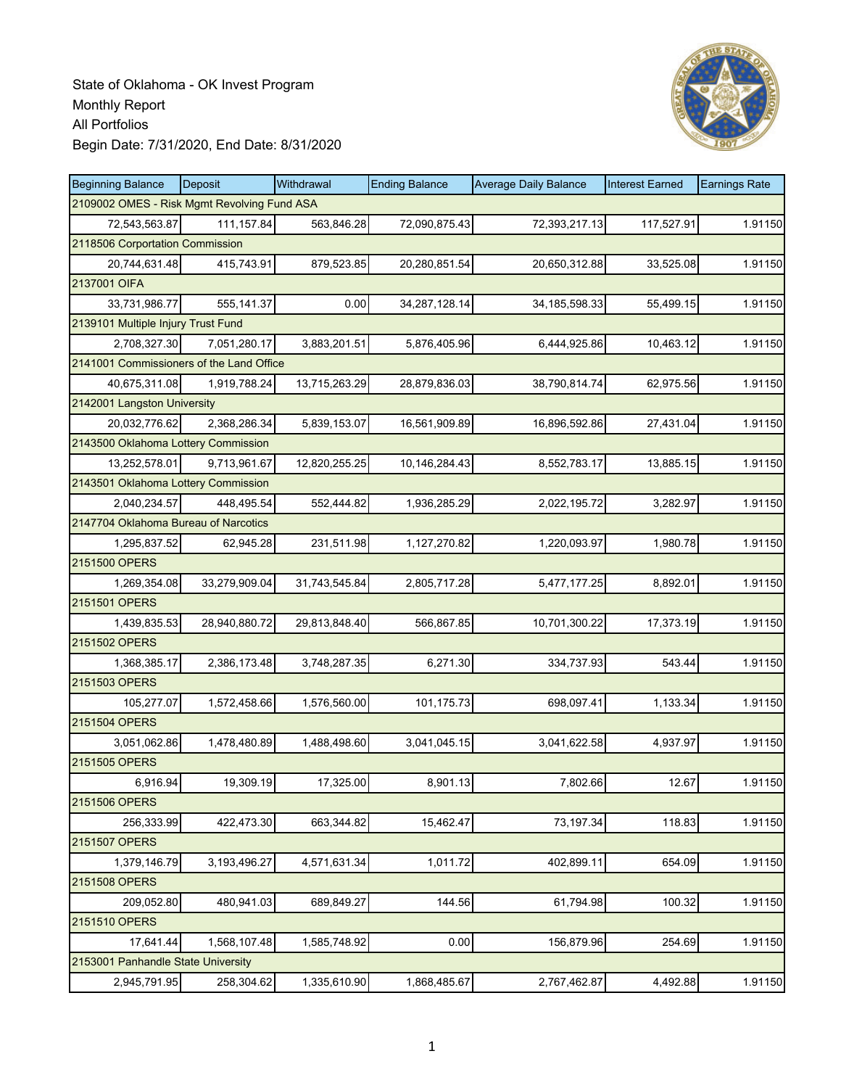

| <b>Beginning Balance</b>                    | Deposit       | Withdrawal    | <b>Ending Balance</b> | <b>Average Daily Balance</b> | <b>Interest Earned</b> | <b>Earnings Rate</b> |
|---------------------------------------------|---------------|---------------|-----------------------|------------------------------|------------------------|----------------------|
| 2109002 OMES - Risk Mgmt Revolving Fund ASA |               |               |                       |                              |                        |                      |
| 72,543,563.87                               | 111, 157.84   | 563,846.28    | 72,090,875.43         | 72,393,217.13                | 117,527.91             | 1.91150              |
| 2118506 Corportation Commission             |               |               |                       |                              |                        |                      |
| 20,744,631.48                               | 415,743.91    | 879,523.85    | 20,280,851.54         | 20,650,312.88                | 33,525.08              | 1.91150              |
| 2137001 OIFA                                |               |               |                       |                              |                        |                      |
| 33,731,986.77                               | 555,141.37    | 0.00          | 34, 287, 128. 14      | 34, 185, 598. 33             | 55,499.15              | 1.91150              |
| 2139101 Multiple Injury Trust Fund          |               |               |                       |                              |                        |                      |
| 2,708,327.30                                | 7,051,280.17  | 3,883,201.51  | 5,876,405.96          | 6,444,925.86                 | 10,463.12              | 1.91150              |
| 2141001 Commissioners of the Land Office    |               |               |                       |                              |                        |                      |
| 40,675,311.08                               | 1,919,788.24  | 13,715,263.29 | 28,879,836.03         | 38,790,814.74                | 62,975.56              | 1.91150              |
| 2142001 Langston University                 |               |               |                       |                              |                        |                      |
| 20,032,776.62                               | 2,368,286.34  | 5,839,153.07  | 16,561,909.89         | 16,896,592.86                | 27,431.04              | 1.91150              |
| 2143500 Oklahoma Lottery Commission         |               |               |                       |                              |                        |                      |
| 13,252,578.01                               | 9,713,961.67  | 12,820,255.25 | 10,146,284.43         | 8,552,783.17                 | 13,885.15              | 1.91150              |
| 2143501 Oklahoma Lottery Commission         |               |               |                       |                              |                        |                      |
| 2,040,234.57                                | 448.495.54    | 552,444.82    | 1,936,285.29          | 2,022,195.72                 | 3,282.97               | 1.91150              |
| 2147704 Oklahoma Bureau of Narcotics        |               |               |                       |                              |                        |                      |
| 1,295,837.52                                | 62,945.28     | 231,511.98    | 1,127,270.82          | 1,220,093.97                 | 1,980.78               | 1.91150              |
| 2151500 OPERS                               |               |               |                       |                              |                        |                      |
| 1,269,354.08                                | 33,279,909.04 | 31,743,545.84 | 2,805,717.28          | 5,477,177.25                 | 8,892.01               | 1.91150              |
| 2151501 OPERS                               |               |               |                       |                              |                        |                      |
| 1,439,835.53                                | 28,940,880.72 | 29,813,848.40 | 566,867.85            | 10,701,300.22                | 17,373.19              | 1.91150              |
| 2151502 OPERS                               |               |               |                       |                              |                        |                      |
| 1,368,385.17                                | 2,386,173.48  | 3,748,287.35  | 6,271.30              | 334,737.93                   | 543.44                 | 1.91150              |
| 2151503 OPERS                               |               |               |                       |                              |                        |                      |
| 105,277.07                                  | 1,572,458.66  | 1,576,560.00  | 101,175.73            | 698,097.41                   | 1,133.34               | 1.91150              |
| 2151504 OPERS                               |               |               |                       |                              |                        |                      |
| 3,051,062.86                                | 1,478,480.89  | 1,488,498.60  | 3,041,045.15          | 3,041,622.58                 | 4,937.97               | 1.91150              |
| 2151505 OPERS                               |               |               |                       |                              |                        |                      |
| 6,916.94                                    | 19,309.19     | 17,325.00     | 8,901.13              | 7,802.66                     | 12.67                  | 1.91150              |
| 2151506 OPERS                               |               |               |                       |                              |                        |                      |
| 256,333.99                                  | 422,473.30    | 663,344.82    | 15,462.47             | 73,197.34                    | 118.83                 | 1.91150              |
| 2151507 OPERS                               |               |               |                       |                              |                        |                      |
| 1,379,146.79                                | 3,193,496.27  | 4,571,631.34  | 1,011.72              | 402,899.11                   | 654.09                 | 1.91150              |
| 2151508 OPERS                               |               |               |                       |                              |                        |                      |
| 209,052.80                                  | 480,941.03    | 689,849.27    | 144.56                | 61,794.98                    | 100.32                 | 1.91150              |
| 2151510 OPERS                               |               |               |                       |                              |                        |                      |
| 17,641.44                                   | 1,568,107.48  | 1,585,748.92  | 0.00                  | 156,879.96                   | 254.69                 | 1.91150              |
| 2153001 Panhandle State University          |               |               |                       |                              |                        |                      |
| 2,945,791.95                                | 258,304.62    | 1,335,610.90  | 1,868,485.67          | 2,767,462.87                 | 4,492.88               | 1.91150              |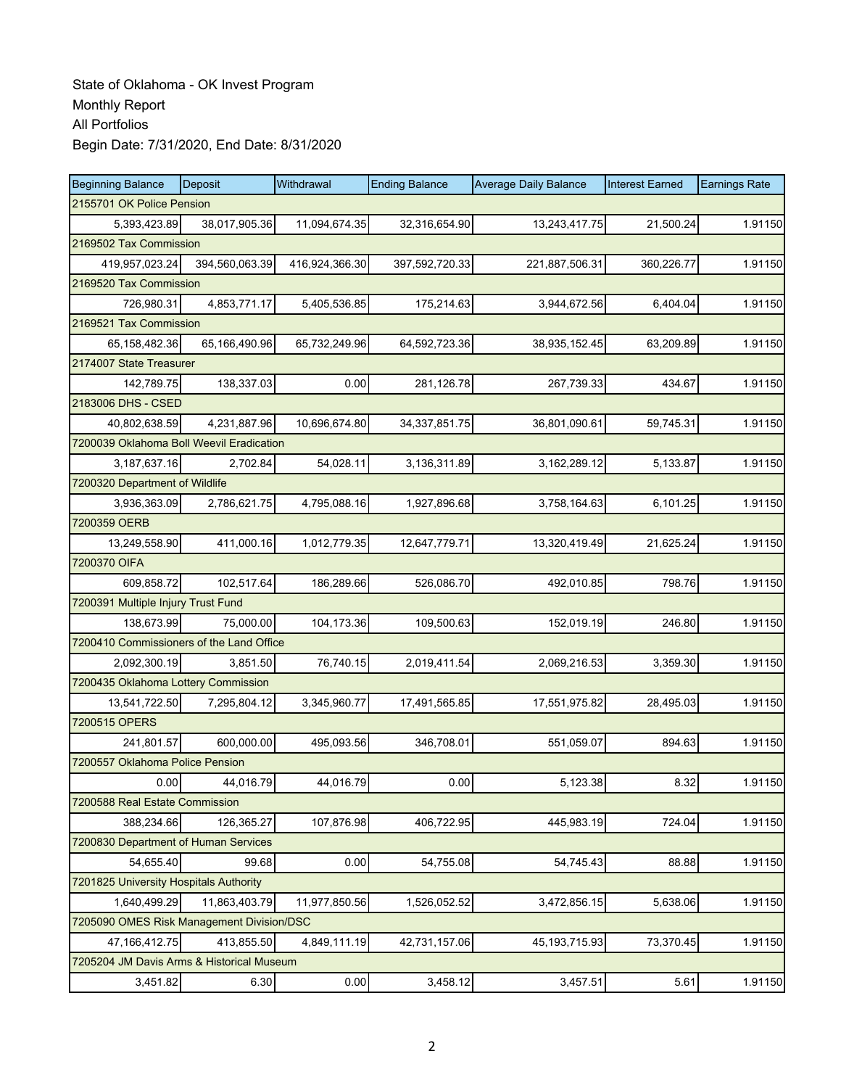| <b>Beginning Balance</b>                  | Deposit                | Withdrawal     | <b>Ending Balance</b> | <b>Average Daily Balance</b> | <b>Interest Earned</b> | <b>Earnings Rate</b> |  |  |  |  |
|-------------------------------------------|------------------------|----------------|-----------------------|------------------------------|------------------------|----------------------|--|--|--|--|
| 2155701 OK Police Pension                 |                        |                |                       |                              |                        |                      |  |  |  |  |
| 5,393,423.89                              | 38,017,905.36          | 11,094,674.35  | 32,316,654.90         | 13,243,417.75                | 21,500.24              | 1.91150              |  |  |  |  |
|                                           | 2169502 Tax Commission |                |                       |                              |                        |                      |  |  |  |  |
| 419,957,023.24                            | 394,560,063.39         | 416,924,366.30 | 397,592,720.33        | 221,887,506.31               | 360,226.77             | 1.91150              |  |  |  |  |
| 2169520 Tax Commission                    |                        |                |                       |                              |                        |                      |  |  |  |  |
| 726,980.31                                | 4,853,771.17           | 5,405,536.85   | 175,214.63            | 3,944,672.56                 | 6,404.04               | 1.91150              |  |  |  |  |
| 2169521 Tax Commission                    |                        |                |                       |                              |                        |                      |  |  |  |  |
| 65,158,482.36                             | 65,166,490.96          | 65,732,249.96  | 64,592,723.36         | 38,935,152.45                | 63,209.89              | 1.91150              |  |  |  |  |
| 2174007 State Treasurer                   |                        |                |                       |                              |                        |                      |  |  |  |  |
| 142,789.75                                | 138,337.03             | 0.00           | 281,126.78            | 267,739.33                   | 434.67                 | 1.91150              |  |  |  |  |
| 2183006 DHS - CSED                        |                        |                |                       |                              |                        |                      |  |  |  |  |
| 40,802,638.59                             | 4,231,887.96           | 10,696,674.80  | 34, 337, 851. 75      | 36,801,090.61                | 59,745.31              | 1.91150              |  |  |  |  |
| 7200039 Oklahoma Boll Weevil Eradication  |                        |                |                       |                              |                        |                      |  |  |  |  |
| 3,187,637.16                              | 2,702.84               | 54,028.11      | 3,136,311.89          | 3,162,289.12                 | 5,133.87               | 1.91150              |  |  |  |  |
| 7200320 Department of Wildlife            |                        |                |                       |                              |                        |                      |  |  |  |  |
| 3,936,363.09                              | 2,786,621.75           | 4,795,088.16   | 1,927,896.68          | 3,758,164.63                 | 6,101.25               | 1.91150              |  |  |  |  |
| 7200359 OERB                              |                        |                |                       |                              |                        |                      |  |  |  |  |
| 13.249.558.90                             | 411,000.16             | 1,012,779.35   | 12,647,779.71         | 13,320,419.49                | 21,625.24              | 1.91150              |  |  |  |  |
| 7200370 OIFA                              |                        |                |                       |                              |                        |                      |  |  |  |  |
| 609,858.72                                | 102,517.64             | 186,289.66     | 526,086.70            | 492,010.85                   | 798.76                 | 1.91150              |  |  |  |  |
| 7200391 Multiple Injury Trust Fund        |                        |                |                       |                              |                        |                      |  |  |  |  |
| 138,673.99                                | 75,000.00              | 104,173.36     | 109,500.63            | 152,019.19                   | 246.80                 | 1.91150              |  |  |  |  |
| 7200410 Commissioners of the Land Office  |                        |                |                       |                              |                        |                      |  |  |  |  |
| 2,092,300.19                              | 3,851.50               | 76,740.15      | 2,019,411.54          | 2,069,216.53                 | 3,359.30               | 1.91150              |  |  |  |  |
| 7200435 Oklahoma Lottery Commission       |                        |                |                       |                              |                        |                      |  |  |  |  |
| 13,541,722.50                             | 7,295,804.12           | 3,345,960.77   | 17,491,565.85         | 17,551,975.82                | 28,495.03              | 1.91150              |  |  |  |  |
| 7200515 OPERS                             |                        |                |                       |                              |                        |                      |  |  |  |  |
| 241,801.57                                | 600,000.00             | 495,093.56     | 346,708.01            | 551,059.07                   | 894.63                 | 1.91150              |  |  |  |  |
| 7200557 Oklahoma Police Pension           |                        |                |                       |                              |                        |                      |  |  |  |  |
| 0.00                                      | 44,016.79              | 44,016.79      | 0.00                  | 5,123.38                     | 8.32                   | 1.91150              |  |  |  |  |
| 7200588 Real Estate Commission            |                        |                |                       |                              |                        |                      |  |  |  |  |
| 388,234.66                                | 126,365.27             | 107,876.98     | 406,722.95            | 445,983.19                   | 724.04                 | 1.91150              |  |  |  |  |
| 7200830 Department of Human Services      |                        |                |                       |                              |                        |                      |  |  |  |  |
| 54,655.40                                 | 99.68                  | 0.00           | 54,755.08             | 54,745.43                    | 88.88                  | 1.91150              |  |  |  |  |
| 7201825 University Hospitals Authority    |                        |                |                       |                              |                        |                      |  |  |  |  |
| 1,640,499.29                              | 11,863,403.79          | 11,977,850.56  | 1,526,052.52          | 3,472,856.15                 | 5,638.06               | 1.91150              |  |  |  |  |
| 7205090 OMES Risk Management Division/DSC |                        |                |                       |                              |                        |                      |  |  |  |  |
| 47, 166, 412. 75                          | 413,855.50             | 4,849,111.19   | 42,731,157.06         | 45, 193, 715.93              | 73,370.45              | 1.91150              |  |  |  |  |
| 7205204 JM Davis Arms & Historical Museum |                        |                |                       |                              |                        |                      |  |  |  |  |
| 3,451.82                                  | 6.30                   | 0.00           | 3,458.12              | 3,457.51                     | 5.61                   | 1.91150              |  |  |  |  |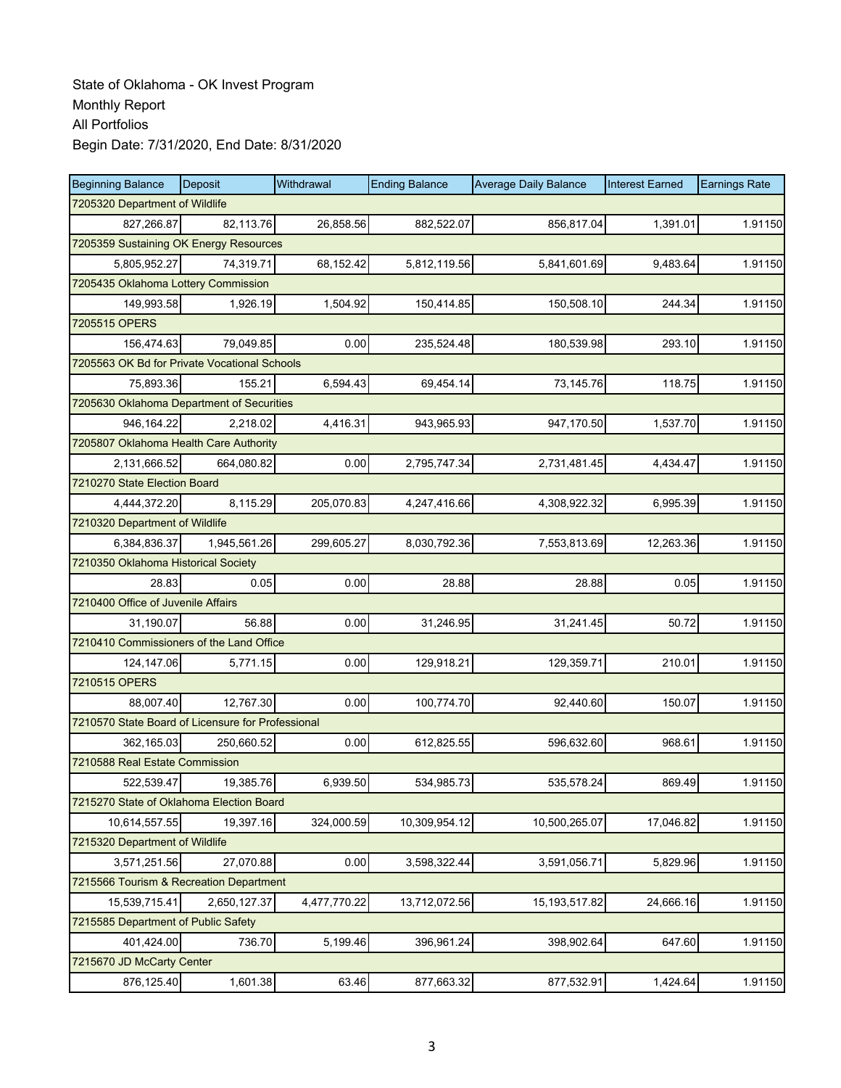| <b>Beginning Balance</b>                          | Deposit                                | Withdrawal   | <b>Ending Balance</b> | <b>Average Daily Balance</b> | <b>Interest Earned</b> | <b>Earnings Rate</b> |  |  |  |  |
|---------------------------------------------------|----------------------------------------|--------------|-----------------------|------------------------------|------------------------|----------------------|--|--|--|--|
|                                                   | 7205320 Department of Wildlife         |              |                       |                              |                        |                      |  |  |  |  |
| 827,266.87                                        | 82,113.76                              | 26,858.56    | 882,522.07            | 856,817.04                   | 1,391.01               | 1.91150              |  |  |  |  |
|                                                   | 7205359 Sustaining OK Energy Resources |              |                       |                              |                        |                      |  |  |  |  |
| 5,805,952.27                                      | 74,319.71                              | 68,152.42    | 5,812,119.56          | 5,841,601.69                 | 9,483.64               | 1.91150              |  |  |  |  |
|                                                   | 7205435 Oklahoma Lottery Commission    |              |                       |                              |                        |                      |  |  |  |  |
| 149,993.58                                        | 1,926.19                               | 1,504.92     | 150,414.85            | 150,508.10                   | 244.34                 | 1.91150              |  |  |  |  |
| 7205515 OPERS                                     |                                        |              |                       |                              |                        |                      |  |  |  |  |
| 156,474.63                                        | 79,049.85                              | 0.00         | 235,524.48            | 180,539.98                   | 293.10                 | 1.91150              |  |  |  |  |
| 7205563 OK Bd for Private Vocational Schools      |                                        |              |                       |                              |                        |                      |  |  |  |  |
| 75,893.36                                         | 155.21                                 | 6,594.43     | 69,454.14             | 73,145.76                    | 118.75                 | 1.91150              |  |  |  |  |
| 7205630 Oklahoma Department of Securities         |                                        |              |                       |                              |                        |                      |  |  |  |  |
| 946, 164.22                                       | 2,218.02                               | 4,416.31     | 943,965.93            | 947,170.50                   | 1,537.70               | 1.91150              |  |  |  |  |
| 7205807 Oklahoma Health Care Authority            |                                        |              |                       |                              |                        |                      |  |  |  |  |
| 2,131,666.52                                      | 664,080.82                             | 0.00         | 2,795,747.34          | 2,731,481.45                 | 4,434.47               | 1.91150              |  |  |  |  |
| 7210270 State Election Board                      |                                        |              |                       |                              |                        |                      |  |  |  |  |
| 4,444,372.20                                      | 8,115.29                               | 205,070.83   | 4,247,416.66          | 4,308,922.32                 | 6,995.39               | 1.91150              |  |  |  |  |
| 7210320 Department of Wildlife                    |                                        |              |                       |                              |                        |                      |  |  |  |  |
| 6,384,836.37                                      | 1,945,561.26                           | 299,605.27   | 8,030,792.36          | 7,553,813.69                 | 12,263.36              | 1.91150              |  |  |  |  |
| 7210350 Oklahoma Historical Society               |                                        |              |                       |                              |                        |                      |  |  |  |  |
| 28.83                                             | 0.05                                   | 0.00         | 28.88                 | 28.88                        | 0.05                   | 1.91150              |  |  |  |  |
| 7210400 Office of Juvenile Affairs                |                                        |              |                       |                              |                        |                      |  |  |  |  |
| 31,190.07                                         | 56.88                                  | 0.00         | 31,246.95             | 31,241.45                    | 50.72                  | 1.91150              |  |  |  |  |
| 7210410 Commissioners of the Land Office          |                                        |              |                       |                              |                        |                      |  |  |  |  |
| 124,147.06                                        | 5,771.15                               | 0.00         | 129,918.21            | 129,359.71                   | 210.01                 | 1.91150              |  |  |  |  |
| 7210515 OPERS                                     |                                        |              |                       |                              |                        |                      |  |  |  |  |
| 88,007.40                                         | 12,767.30                              | 0.00         | 100,774.70            | 92,440.60                    | 150.07                 | 1.91150              |  |  |  |  |
| 7210570 State Board of Licensure for Professional |                                        |              |                       |                              |                        |                      |  |  |  |  |
| 362,165.03                                        | 250,660.52                             | 0.00         | 612,825.55            | 596,632.60                   | 968.61                 | 1.91150              |  |  |  |  |
| 7210588 Real Estate Commission                    |                                        |              |                       |                              |                        |                      |  |  |  |  |
| 522,539.47                                        | 19,385.76                              | 6,939.50     | 534,985.73            | 535,578.24                   | 869.49                 | 1.91150              |  |  |  |  |
| 7215270 State of Oklahoma Election Board          |                                        |              |                       |                              |                        |                      |  |  |  |  |
| 10,614,557.55                                     | 19,397.16                              | 324,000.59   | 10,309,954.12         | 10,500,265.07                | 17,046.82              | 1.91150              |  |  |  |  |
| 7215320 Department of Wildlife                    |                                        |              |                       |                              |                        |                      |  |  |  |  |
| 3,571,251.56                                      | 27,070.88                              | 0.00         | 3,598,322.44          | 3,591,056.71                 | 5,829.96               | 1.91150              |  |  |  |  |
| 7215566 Tourism & Recreation Department           |                                        |              |                       |                              |                        |                      |  |  |  |  |
| 15,539,715.41                                     | 2,650,127.37                           | 4,477,770.22 | 13,712,072.56         | 15, 193, 517.82              | 24,666.16              | 1.91150              |  |  |  |  |
| 7215585 Department of Public Safety               |                                        |              |                       |                              |                        |                      |  |  |  |  |
| 401,424.00                                        | 736.70                                 | 5,199.46     | 396,961.24            | 398,902.64                   | 647.60                 | 1.91150              |  |  |  |  |
| 7215670 JD McCarty Center                         |                                        |              |                       |                              |                        |                      |  |  |  |  |
| 876,125.40                                        | 1,601.38                               | 63.46        | 877,663.32            | 877,532.91                   | 1,424.64               | 1.91150              |  |  |  |  |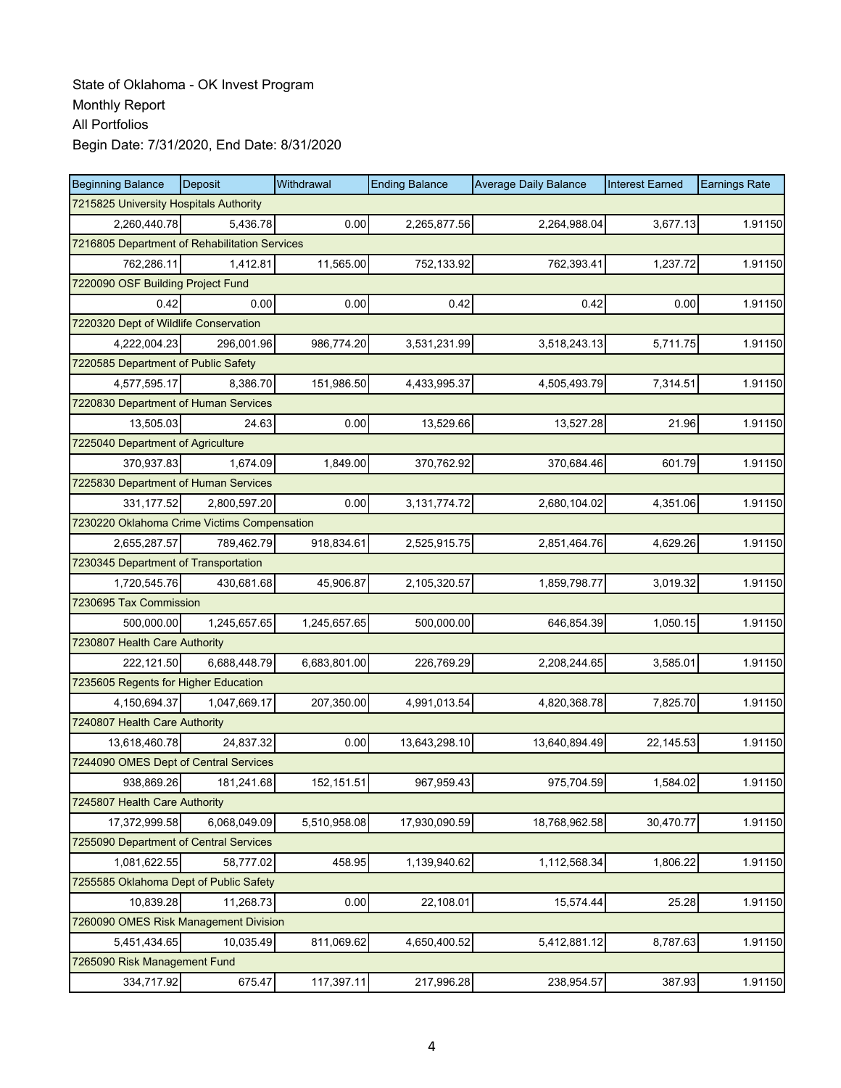| <b>Beginning Balance</b>                      | Deposit                                | Withdrawal   | <b>Ending Balance</b> | <b>Average Daily Balance</b> | <b>Interest Earned</b> | <b>Earnings Rate</b> |  |  |  |  |
|-----------------------------------------------|----------------------------------------|--------------|-----------------------|------------------------------|------------------------|----------------------|--|--|--|--|
|                                               | 7215825 University Hospitals Authority |              |                       |                              |                        |                      |  |  |  |  |
| 2,260,440.78                                  | 5.436.78                               | 0.00         | 2,265,877.56          | 2,264,988.04                 | 3,677.13               | 1.91150              |  |  |  |  |
| 7216805 Department of Rehabilitation Services |                                        |              |                       |                              |                        |                      |  |  |  |  |
| 762,286.11                                    | 1,412.81                               | 11,565.00    | 752,133.92            | 762,393.41                   | 1,237.72               | 1.91150              |  |  |  |  |
| 7220090 OSF Building Project Fund             |                                        |              |                       |                              |                        |                      |  |  |  |  |
| 0.42                                          | 0.00                                   | 0.00         | 0.42                  | 0.42                         | 0.00                   | 1.91150              |  |  |  |  |
| 7220320 Dept of Wildlife Conservation         |                                        |              |                       |                              |                        |                      |  |  |  |  |
| 4,222,004.23                                  | 296,001.96                             | 986,774.20   | 3,531,231.99          | 3,518,243.13                 | 5,711.75               | 1.91150              |  |  |  |  |
| 7220585 Department of Public Safety           |                                        |              |                       |                              |                        |                      |  |  |  |  |
| 4,577,595.17                                  | 8,386.70                               | 151,986.50   | 4,433,995.37          | 4,505,493.79                 | 7,314.51               | 1.91150              |  |  |  |  |
| 7220830 Department of Human Services          |                                        |              |                       |                              |                        |                      |  |  |  |  |
| 13,505.03                                     | 24.63                                  | 0.00         | 13,529.66             | 13,527.28                    | 21.96                  | 1.91150              |  |  |  |  |
| 7225040 Department of Agriculture             |                                        |              |                       |                              |                        |                      |  |  |  |  |
| 370,937.83                                    | 1,674.09                               | 1,849.00     | 370,762.92            | 370,684.46                   | 601.79                 | 1.91150              |  |  |  |  |
| 7225830 Department of Human Services          |                                        |              |                       |                              |                        |                      |  |  |  |  |
| 331,177.52                                    | 2,800,597.20                           | 0.00         | 3,131,774.72          | 2,680,104.02                 | 4,351.06               | 1.91150              |  |  |  |  |
| 7230220 Oklahoma Crime Victims Compensation   |                                        |              |                       |                              |                        |                      |  |  |  |  |
| 2,655,287.57                                  | 789,462.79                             | 918,834.61   | 2,525,915.75          | 2,851,464.76                 | 4,629.26               | 1.91150              |  |  |  |  |
| 7230345 Department of Transportation          |                                        |              |                       |                              |                        |                      |  |  |  |  |
| 1,720,545.76                                  | 430,681.68                             | 45,906.87    | 2,105,320.57          | 1,859,798.77                 | 3,019.32               | 1.91150              |  |  |  |  |
| 7230695 Tax Commission                        |                                        |              |                       |                              |                        |                      |  |  |  |  |
| 500,000.00                                    | 1,245,657.65                           | 1,245,657.65 | 500,000.00            | 646,854.39                   | 1,050.15               | 1.91150              |  |  |  |  |
| 7230807 Health Care Authority                 |                                        |              |                       |                              |                        |                      |  |  |  |  |
| 222,121.50                                    | 6,688,448.79                           | 6,683,801.00 | 226,769.29            | 2,208,244.65                 | 3,585.01               | 1.91150              |  |  |  |  |
| 7235605 Regents for Higher Education          |                                        |              |                       |                              |                        |                      |  |  |  |  |
| 4,150,694.37                                  | 1,047,669.17                           | 207,350.00   | 4,991,013.54          | 4,820,368.78                 | 7,825.70               | 1.91150              |  |  |  |  |
| 7240807 Health Care Authority                 |                                        |              |                       |                              |                        |                      |  |  |  |  |
| 13,618,460.78                                 | 24.837.32                              | 0.00         | 13,643,298.10         | 13,640,894.49                | 22,145.53              | 1.91150              |  |  |  |  |
| 7244090 OMES Dept of Central Services         |                                        |              |                       |                              |                        |                      |  |  |  |  |
| 938,869.26                                    | 181,241.68                             | 152, 151.51  | 967,959.43            | 975,704.59                   | 1,584.02               | 1.91150              |  |  |  |  |
| 7245807 Health Care Authority                 |                                        |              |                       |                              |                        |                      |  |  |  |  |
| 17,372,999.58                                 | 6,068,049.09                           | 5,510,958.08 | 17,930,090.59         | 18,768,962.58                | 30,470.77              | 1.91150              |  |  |  |  |
| 7255090 Department of Central Services        |                                        |              |                       |                              |                        |                      |  |  |  |  |
| 1,081,622.55                                  | 58,777.02                              | 458.95       | 1,139,940.62          | 1,112,568.34                 | 1,806.22               | 1.91150              |  |  |  |  |
| 7255585 Oklahoma Dept of Public Safety        |                                        |              |                       |                              |                        |                      |  |  |  |  |
| 10,839.28                                     | 11,268.73                              | 0.00         | 22,108.01             | 15,574.44                    | 25.28                  | 1.91150              |  |  |  |  |
| 7260090 OMES Risk Management Division         |                                        |              |                       |                              |                        |                      |  |  |  |  |
| 5,451,434.65                                  | 10,035.49                              | 811,069.62   | 4,650,400.52          | 5,412,881.12                 | 8,787.63               | 1.91150              |  |  |  |  |
| 7265090 Risk Management Fund                  |                                        |              |                       |                              |                        |                      |  |  |  |  |
| 334,717.92                                    | 675.47                                 | 117,397.11   | 217,996.28            | 238,954.57                   | 387.93                 | 1.91150              |  |  |  |  |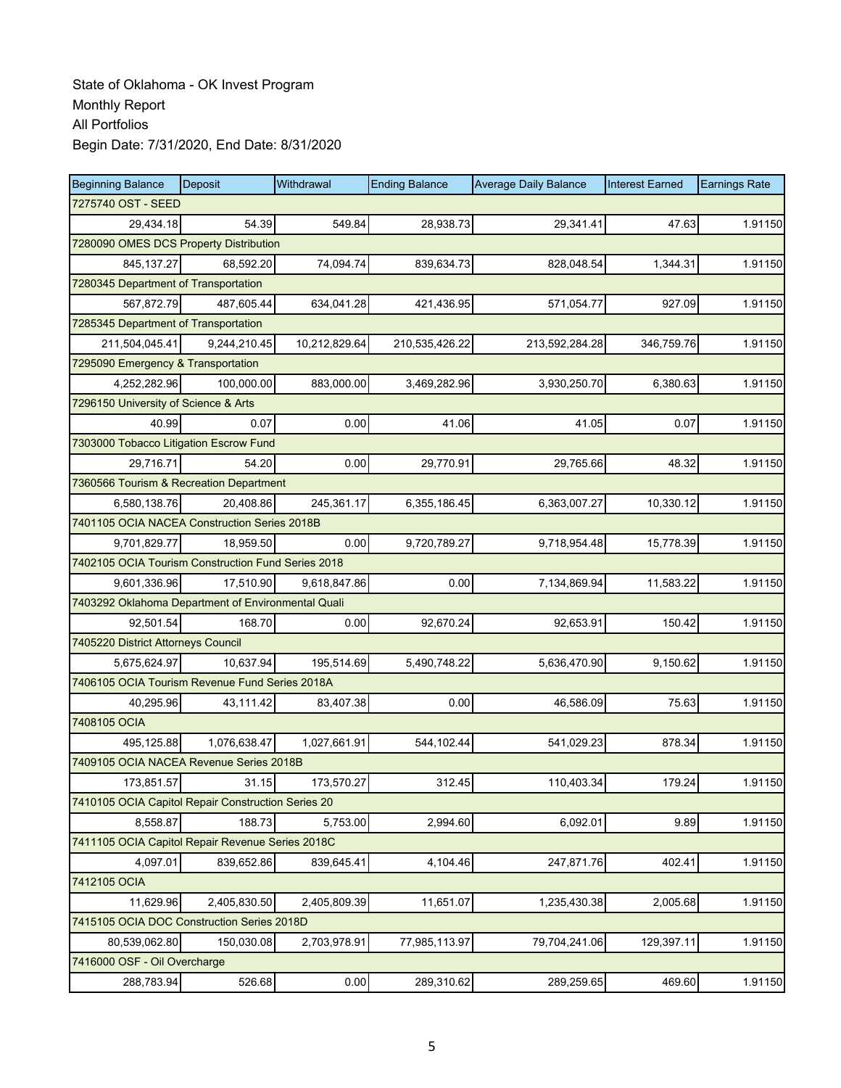| <b>Beginning Balance</b>                           | Deposit      | Withdrawal    | <b>Ending Balance</b> | <b>Average Daily Balance</b> | <b>Interest Earned</b> | <b>Earnings Rate</b> |  |  |  |
|----------------------------------------------------|--------------|---------------|-----------------------|------------------------------|------------------------|----------------------|--|--|--|
| 7275740 OST - SEED                                 |              |               |                       |                              |                        |                      |  |  |  |
| 29.434.18                                          | 54.39        | 549.84        | 28,938.73             | 29,341.41                    | 47.63                  | 1.91150              |  |  |  |
| 7280090 OMES DCS Property Distribution             |              |               |                       |                              |                        |                      |  |  |  |
| 845, 137.27                                        | 68,592.20    | 74,094.74     | 839,634.73            | 828,048.54                   | 1,344.31               | 1.91150              |  |  |  |
| 7280345 Department of Transportation               |              |               |                       |                              |                        |                      |  |  |  |
| 567,872.79                                         | 487,605.44   | 634,041.28    | 421,436.95            | 571,054.77                   | 927.09                 | 1.91150              |  |  |  |
| 7285345 Department of Transportation               |              |               |                       |                              |                        |                      |  |  |  |
| 211,504,045.41                                     | 9,244,210.45 | 10,212,829.64 | 210,535,426.22        | 213,592,284.28               | 346,759.76             | 1.91150              |  |  |  |
| 7295090 Emergency & Transportation                 |              |               |                       |                              |                        |                      |  |  |  |
| 4,252,282.96                                       | 100,000.00   | 883,000.00    | 3,469,282.96          | 3,930,250.70                 | 6,380.63               | 1.91150              |  |  |  |
| 7296150 University of Science & Arts               |              |               |                       |                              |                        |                      |  |  |  |
| 40.99                                              | 0.07         | 0.00          | 41.06                 | 41.05                        | 0.07                   | 1.91150              |  |  |  |
| 7303000 Tobacco Litigation Escrow Fund             |              |               |                       |                              |                        |                      |  |  |  |
| 29,716.71                                          | 54.20        | 0.00          | 29,770.91             | 29,765.66                    | 48.32                  | 1.91150              |  |  |  |
| 7360566 Tourism & Recreation Department            |              |               |                       |                              |                        |                      |  |  |  |
| 6,580,138.76                                       | 20,408.86    | 245,361.17    | 6,355,186.45          | 6,363,007.27                 | 10,330.12              | 1.91150              |  |  |  |
| 7401105 OCIA NACEA Construction Series 2018B       |              |               |                       |                              |                        |                      |  |  |  |
| 9,701,829.77                                       | 18,959.50    | 0.00          | 9,720,789.27          | 9,718,954.48                 | 15,778.39              | 1.91150              |  |  |  |
| 7402105 OCIA Tourism Construction Fund Series 2018 |              |               |                       |                              |                        |                      |  |  |  |
| 9,601,336.96                                       | 17,510.90    | 9,618,847.86  | 0.00                  | 7,134,869.94                 | 11,583.22              | 1.91150              |  |  |  |
| 7403292 Oklahoma Department of Environmental Quali |              |               |                       |                              |                        |                      |  |  |  |
| 92,501.54                                          | 168.70       | 0.00          | 92,670.24             | 92,653.91                    | 150.42                 | 1.91150              |  |  |  |
| 7405220 District Attorneys Council                 |              |               |                       |                              |                        |                      |  |  |  |
| 5,675,624.97                                       | 10,637.94    | 195,514.69    | 5,490,748.22          | 5,636,470.90                 | 9,150.62               | 1.91150              |  |  |  |
| 7406105 OCIA Tourism Revenue Fund Series 2018A     |              |               |                       |                              |                        |                      |  |  |  |
| 40,295.96                                          | 43,111.42    | 83,407.38     | 0.00                  | 46,586.09                    | 75.63                  | 1.91150              |  |  |  |
| 7408105 OCIA                                       |              |               |                       |                              |                        |                      |  |  |  |
| 495,125.88                                         | 1,076,638.47 | 1,027,661.91  | 544,102.44            | 541,029.23                   | 878.34                 | 1.91150              |  |  |  |
| 7409105 OCIA NACEA Revenue Series 2018B            |              |               |                       |                              |                        |                      |  |  |  |
| 173,851.57                                         | 31.15        | 173,570.27    | 312.45                | 110,403.34                   | 179.24                 | 1.91150              |  |  |  |
| 7410105 OCIA Capitol Repair Construction Series 20 |              |               |                       |                              |                        |                      |  |  |  |
| 8,558.87                                           | 188.73       | 5,753.00      | 2,994.60              | 6,092.01                     | 9.89                   | 1.91150              |  |  |  |
| 7411105 OCIA Capitol Repair Revenue Series 2018C   |              |               |                       |                              |                        |                      |  |  |  |
| 4,097.01                                           | 839,652.86   | 839,645.41    | 4,104.46              | 247,871.76                   | 402.41                 | 1.91150              |  |  |  |
| 7412105 OCIA                                       |              |               |                       |                              |                        |                      |  |  |  |
| 11,629.96                                          | 2,405,830.50 | 2,405,809.39  | 11,651.07             | 1,235,430.38                 | 2,005.68               | 1.91150              |  |  |  |
| 7415105 OCIA DOC Construction Series 2018D         |              |               |                       |                              |                        |                      |  |  |  |
| 80,539,062.80                                      | 150,030.08   | 2,703,978.91  | 77,985,113.97         | 79,704,241.06                | 129,397.11             | 1.91150              |  |  |  |
| 7416000 OSF - Oil Overcharge                       |              |               |                       |                              |                        |                      |  |  |  |
| 288,783.94                                         | 526.68       | 0.00          | 289,310.62            | 289,259.65                   | 469.60                 | 1.91150              |  |  |  |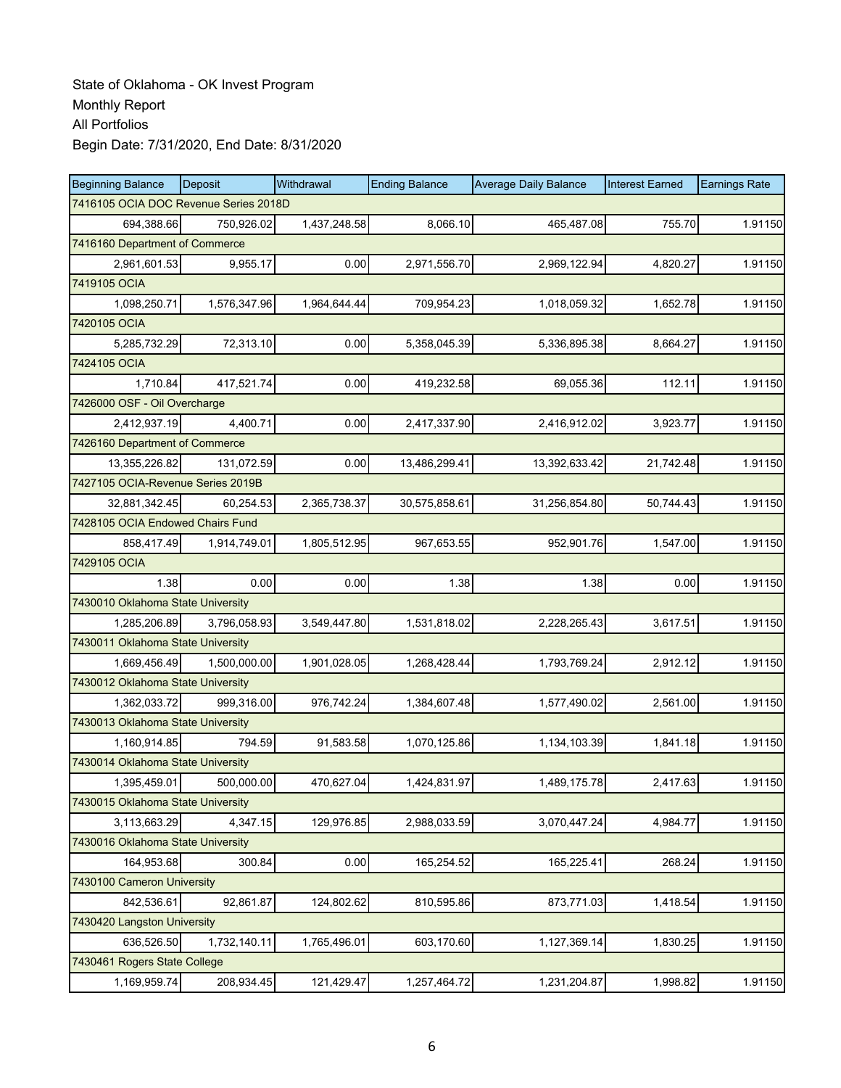| <b>Beginning Balance</b>          | Deposit                               | Withdrawal   | <b>Ending Balance</b> | <b>Average Daily Balance</b> | <b>Interest Earned</b> | <b>Earnings Rate</b> |  |  |  |
|-----------------------------------|---------------------------------------|--------------|-----------------------|------------------------------|------------------------|----------------------|--|--|--|
|                                   | 7416105 OCIA DOC Revenue Series 2018D |              |                       |                              |                        |                      |  |  |  |
| 694,388.66                        | 750,926.02                            | 1,437,248.58 | 8,066.10              | 465,487.08                   | 755.70                 | 1.91150              |  |  |  |
| 7416160 Department of Commerce    |                                       |              |                       |                              |                        |                      |  |  |  |
| 2,961,601.53                      | 9,955.17                              | 0.00         | 2,971,556.70          | 2,969,122.94                 | 4,820.27               | 1.91150              |  |  |  |
| 7419105 OCIA                      |                                       |              |                       |                              |                        |                      |  |  |  |
| 1,098,250.71                      | 1,576,347.96                          | 1,964,644.44 | 709,954.23            | 1,018,059.32                 | 1,652.78               | 1.91150              |  |  |  |
| 7420105 OCIA                      |                                       |              |                       |                              |                        |                      |  |  |  |
| 5,285,732.29                      | 72,313.10                             | 0.00         | 5,358,045.39          | 5,336,895.38                 | 8,664.27               | 1.91150              |  |  |  |
| 7424105 OCIA                      |                                       |              |                       |                              |                        |                      |  |  |  |
| 1,710.84                          | 417,521.74                            | 0.00         | 419,232.58            | 69,055.36                    | 112.11                 | 1.91150              |  |  |  |
| 7426000 OSF - Oil Overcharge      |                                       |              |                       |                              |                        |                      |  |  |  |
| 2,412,937.19                      | 4,400.71                              | 0.00         | 2,417,337.90          | 2,416,912.02                 | 3,923.77               | 1.91150              |  |  |  |
| 7426160 Department of Commerce    |                                       |              |                       |                              |                        |                      |  |  |  |
| 13,355,226.82                     | 131,072.59                            | 0.00         | 13,486,299.41         | 13,392,633.42                | 21,742.48              | 1.91150              |  |  |  |
| 7427105 OCIA-Revenue Series 2019B |                                       |              |                       |                              |                        |                      |  |  |  |
| 32,881,342.45                     | 60,254.53                             | 2,365,738.37 | 30,575,858.61         | 31,256,854.80                | 50,744.43              | 1.91150              |  |  |  |
| 7428105 OCIA Endowed Chairs Fund  |                                       |              |                       |                              |                        |                      |  |  |  |
| 858,417.49                        | 1,914,749.01                          | 1,805,512.95 | 967,653.55            | 952,901.76                   | 1,547.00               | 1.91150              |  |  |  |
| 7429105 OCIA                      |                                       |              |                       |                              |                        |                      |  |  |  |
| 1.38                              | 0.00                                  | 0.00         | 1.38                  | 1.38                         | 0.00                   | 1.91150              |  |  |  |
| 7430010 Oklahoma State University |                                       |              |                       |                              |                        |                      |  |  |  |
| 1,285,206.89                      | 3,796,058.93                          | 3,549,447.80 | 1,531,818.02          | 2,228,265.43                 | 3,617.51               | 1.91150              |  |  |  |
| 7430011 Oklahoma State University |                                       |              |                       |                              |                        |                      |  |  |  |
| 1,669,456.49                      | 1,500,000.00                          | 1,901,028.05 | 1,268,428.44          | 1,793,769.24                 | 2,912.12               | 1.91150              |  |  |  |
| 7430012 Oklahoma State University |                                       |              |                       |                              |                        |                      |  |  |  |
| 1,362,033.72                      | 999,316.00                            | 976,742.24   | 1,384,607.48          | 1,577,490.02                 | 2,561.00               | 1.91150              |  |  |  |
| 7430013 Oklahoma State University |                                       |              |                       |                              |                        |                      |  |  |  |
| 1,160,914.85                      | 794.59                                | 91,583.58    | 1,070,125.86          | 1,134,103.39                 | 1,841.18               | 1.91150              |  |  |  |
| 7430014 Oklahoma State University |                                       |              |                       |                              |                        |                      |  |  |  |
| 1,395,459.01                      | 500,000.00                            | 470,627.04   | 1,424,831.97          | 1,489,175.78                 | 2,417.63               | 1.91150              |  |  |  |
| 7430015 Oklahoma State University |                                       |              |                       |                              |                        |                      |  |  |  |
| 3,113,663.29                      | 4,347.15                              | 129,976.85   | 2,988,033.59          | 3,070,447.24                 | 4,984.77               | 1.91150              |  |  |  |
| 7430016 Oklahoma State University |                                       |              |                       |                              |                        |                      |  |  |  |
| 164,953.68                        | 300.84                                | 0.00         | 165,254.52            | 165,225.41                   | 268.24                 | 1.91150              |  |  |  |
| 7430100 Cameron University        |                                       |              |                       |                              |                        |                      |  |  |  |
| 842,536.61                        | 92,861.87                             | 124,802.62   | 810,595.86            | 873,771.03                   | 1,418.54               | 1.91150              |  |  |  |
| 7430420 Langston University       |                                       |              |                       |                              |                        |                      |  |  |  |
| 636,526.50                        | 1,732,140.11                          | 1,765,496.01 | 603,170.60            | 1,127,369.14                 | 1,830.25               | 1.91150              |  |  |  |
| 7430461 Rogers State College      |                                       |              |                       |                              |                        |                      |  |  |  |
| 1,169,959.74                      | 208,934.45                            | 121,429.47   | 1,257,464.72          | 1,231,204.87                 | 1,998.82               | 1.91150              |  |  |  |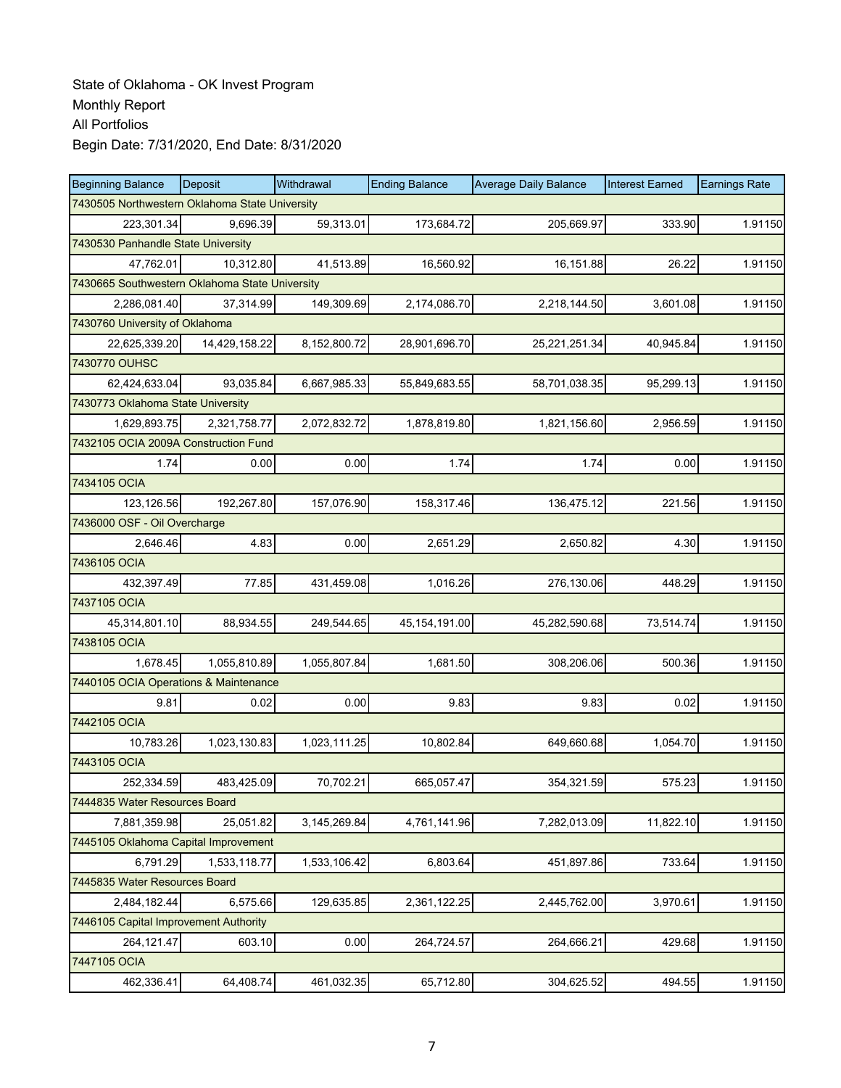| <b>Beginning Balance</b>                       | Deposit       | Withdrawal   | <b>Ending Balance</b> | <b>Average Daily Balance</b> | <b>Interest Earned</b> | <b>Earnings Rate</b> |
|------------------------------------------------|---------------|--------------|-----------------------|------------------------------|------------------------|----------------------|
| 7430505 Northwestern Oklahoma State University |               |              |                       |                              |                        |                      |
| 223,301.34                                     | 9,696.39      | 59,313.01    | 173,684.72            | 205,669.97                   | 333.90                 | 1.91150              |
| 7430530 Panhandle State University             |               |              |                       |                              |                        |                      |
| 47,762.01                                      | 10,312.80     | 41,513.89    | 16,560.92             | 16,151.88                    | 26.22                  | 1.91150              |
| 7430665 Southwestern Oklahoma State University |               |              |                       |                              |                        |                      |
| 2,286,081.40                                   | 37,314.99     | 149,309.69   | 2,174,086.70          | 2,218,144.50                 | 3,601.08               | 1.91150              |
| 7430760 University of Oklahoma                 |               |              |                       |                              |                        |                      |
| 22,625,339.20                                  | 14,429,158.22 | 8,152,800.72 | 28,901,696.70         | 25,221,251.34                | 40,945.84              | 1.91150              |
| 7430770 OUHSC                                  |               |              |                       |                              |                        |                      |
| 62,424,633.04                                  | 93,035.84     | 6,667,985.33 | 55,849,683.55         | 58,701,038.35                | 95,299.13              | 1.91150              |
| 7430773 Oklahoma State University              |               |              |                       |                              |                        |                      |
| 1,629,893.75                                   | 2,321,758.77  | 2,072,832.72 | 1,878,819.80          | 1,821,156.60                 | 2,956.59               | 1.91150              |
| 7432105 OCIA 2009A Construction Fund           |               |              |                       |                              |                        |                      |
| 1.74                                           | 0.00          | 0.00         | 1.74                  | 1.74                         | 0.00                   | 1.91150              |
| 7434105 OCIA                                   |               |              |                       |                              |                        |                      |
| 123,126.56                                     | 192,267.80    | 157,076.90   | 158,317.46            | 136,475.12                   | 221.56                 | 1.91150              |
| 7436000 OSF - Oil Overcharge                   |               |              |                       |                              |                        |                      |
| 2,646.46                                       | 4.83          | 0.00         | 2,651.29              | 2,650.82                     | 4.30                   | 1.91150              |
| 7436105 OCIA                                   |               |              |                       |                              |                        |                      |
| 432,397.49                                     | 77.85         | 431,459.08   | 1,016.26              | 276,130.06                   | 448.29                 | 1.91150              |
| 7437105 OCIA                                   |               |              |                       |                              |                        |                      |
| 45,314,801.10                                  | 88,934.55     | 249,544.65   | 45, 154, 191.00       | 45,282,590.68                | 73,514.74              | 1.91150              |
| 7438105 OCIA                                   |               |              |                       |                              |                        |                      |
| 1,678.45                                       | 1,055,810.89  | 1,055,807.84 | 1,681.50              | 308,206.06                   | 500.36                 | 1.91150              |
| 7440105 OCIA Operations & Maintenance          |               |              |                       |                              |                        |                      |
| 9.81                                           | 0.02          | 0.00         | 9.83                  | 9.83                         | 0.02                   | 1.91150              |
| 7442105 OCIA                                   |               |              |                       |                              |                        |                      |
| 10,783.26                                      | 1,023,130.83  | 1,023,111.25 | 10,802.84             | 649,660.68                   | 1,054.70               | 1.91150              |
| 7443105 OCIA                                   |               |              |                       |                              |                        |                      |
| 252,334.59                                     | 483,425.09    | 70,702.21    | 665,057.47            | 354,321.59                   | 575.23                 | 1.91150              |
| 7444835 Water Resources Board                  |               |              |                       |                              |                        |                      |
| 7,881,359.98                                   | 25,051.82     | 3,145,269.84 | 4,761,141.96          | 7,282,013.09                 | 11,822.10              | 1.91150              |
| 7445105 Oklahoma Capital Improvement           |               |              |                       |                              |                        |                      |
| 6,791.29                                       | 1,533,118.77  | 1,533,106.42 | 6,803.64              | 451,897.86                   | 733.64                 | 1.91150              |
| 7445835 Water Resources Board                  |               |              |                       |                              |                        |                      |
| 2,484,182.44                                   | 6,575.66      | 129,635.85   | 2,361,122.25          | 2,445,762.00                 | 3,970.61               | 1.91150              |
| 7446105 Capital Improvement Authority          |               |              |                       |                              |                        |                      |
| 264,121.47                                     | 603.10        | 0.00         | 264,724.57            | 264,666.21                   | 429.68                 | 1.91150              |
| 7447105 OCIA                                   |               |              |                       |                              |                        |                      |
| 462,336.41                                     | 64,408.74     | 461,032.35   | 65,712.80             | 304,625.52                   | 494.55                 | 1.91150              |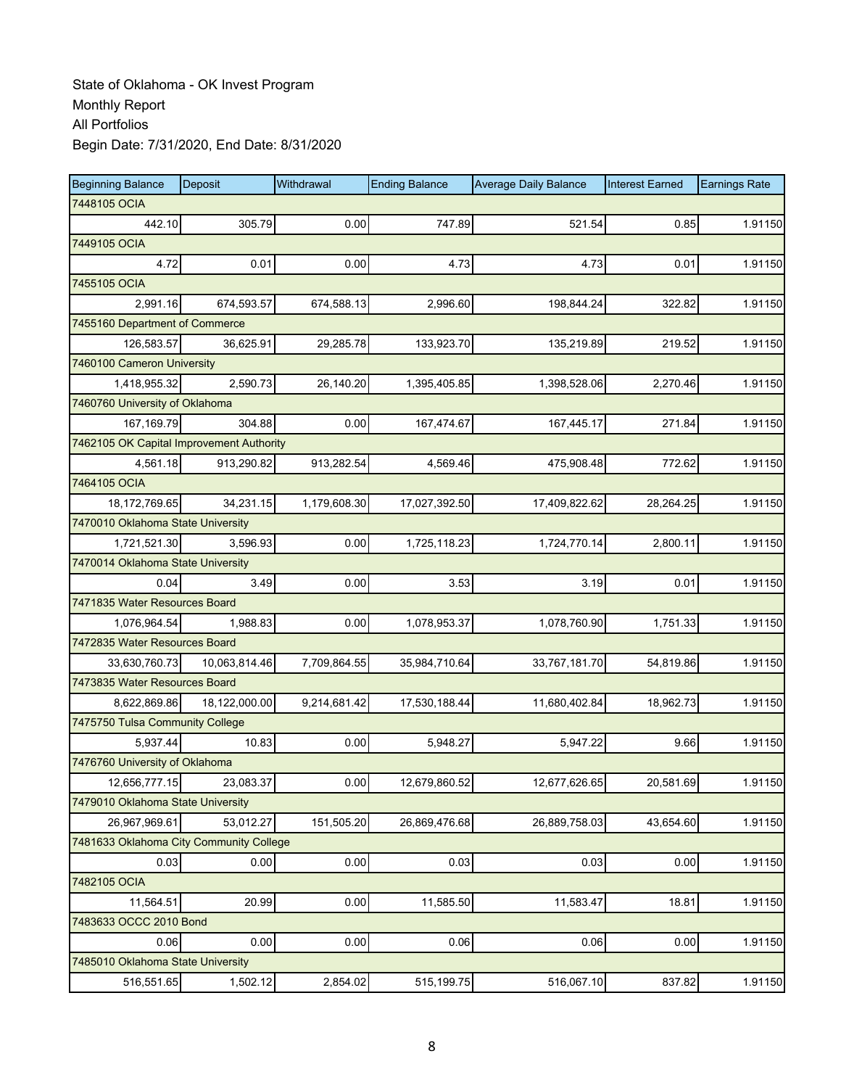| <b>Beginning Balance</b>                 | Deposit       | Withdrawal   | <b>Ending Balance</b> | <b>Average Daily Balance</b> | <b>Interest Earned</b> | <b>Earnings Rate</b> |
|------------------------------------------|---------------|--------------|-----------------------|------------------------------|------------------------|----------------------|
| 7448105 OCIA                             |               |              |                       |                              |                        |                      |
| 442.10                                   | 305.79        | 0.00         | 747.89                | 521.54                       | 0.85                   | 1.91150              |
| 7449105 OCIA                             |               |              |                       |                              |                        |                      |
| 4.72                                     | 0.01          | 0.00         | 4.73                  | 4.73                         | 0.01                   | 1.91150              |
| 7455105 OCIA                             |               |              |                       |                              |                        |                      |
| 2,991.16                                 | 674,593.57    | 674,588.13   | 2,996.60              | 198,844.24                   | 322.82                 | 1.91150              |
| 7455160 Department of Commerce           |               |              |                       |                              |                        |                      |
| 126,583.57                               | 36,625.91     | 29,285.78    | 133,923.70            | 135,219.89                   | 219.52                 | 1.91150              |
| 7460100 Cameron University               |               |              |                       |                              |                        |                      |
| 1,418,955.32                             | 2,590.73      | 26,140.20    | 1,395,405.85          | 1,398,528.06                 | 2,270.46               | 1.91150              |
| 7460760 University of Oklahoma           |               |              |                       |                              |                        |                      |
| 167,169.79                               | 304.88        | 0.00         | 167,474.67            | 167,445.17                   | 271.84                 | 1.91150              |
| 7462105 OK Capital Improvement Authority |               |              |                       |                              |                        |                      |
| 4,561.18                                 | 913,290.82    | 913,282.54   | 4,569.46              | 475,908.48                   | 772.62                 | 1.91150              |
| 7464105 OCIA                             |               |              |                       |                              |                        |                      |
| 18,172,769.65                            | 34,231.15     | 1,179,608.30 | 17,027,392.50         | 17,409,822.62                | 28,264.25              | 1.91150              |
| 7470010 Oklahoma State University        |               |              |                       |                              |                        |                      |
| 1,721,521.30                             | 3,596.93      | 0.00         | 1,725,118.23          | 1,724,770.14                 | 2,800.11               | 1.91150              |
| 7470014 Oklahoma State University        |               |              |                       |                              |                        |                      |
| 0.04                                     | 3.49          | 0.00         | 3.53                  | 3.19                         | 0.01                   | 1.91150              |
| 7471835 Water Resources Board            |               |              |                       |                              |                        |                      |
| 1,076,964.54                             | 1,988.83      | 0.00         | 1,078,953.37          | 1,078,760.90                 | 1,751.33               | 1.91150              |
| 7472835 Water Resources Board            |               |              |                       |                              |                        |                      |
| 33,630,760.73                            | 10,063,814.46 | 7,709,864.55 | 35,984,710.64         | 33,767,181.70                | 54,819.86              | 1.91150              |
| 7473835 Water Resources Board            |               |              |                       |                              |                        |                      |
| 8,622,869.86                             | 18,122,000.00 | 9,214,681.42 | 17,530,188.44         | 11,680,402.84                | 18,962.73              | 1.91150              |
| 7475750 Tulsa Community College          |               |              |                       |                              |                        |                      |
| 5,937.44                                 | 10.83         | 0.00         | 5,948.27              | 5,947.22                     | 9.66                   | 1.91150              |
| 7476760 University of Oklahoma           |               |              |                       |                              |                        |                      |
| 12,656,777.15                            | 23,083.37     | 0.00         | 12,679,860.52         | 12,677,626.65                | 20,581.69              | 1.91150              |
| 7479010 Oklahoma State University        |               |              |                       |                              |                        |                      |
| 26,967,969.61                            | 53,012.27     | 151,505.20   | 26,869,476.68         | 26,889,758.03                | 43,654.60              | 1.91150              |
| 7481633 Oklahoma City Community College  |               |              |                       |                              |                        |                      |
| 0.03                                     | 0.00          | 0.00         | 0.03                  | 0.03                         | 0.00                   | 1.91150              |
| 7482105 OCIA                             |               |              |                       |                              |                        |                      |
| 11,564.51                                | 20.99         | 0.00         | 11,585.50             | 11,583.47                    | 18.81                  | 1.91150              |
| 7483633 OCCC 2010 Bond                   |               |              |                       |                              |                        |                      |
| 0.06                                     | 0.00          | 0.00         | 0.06                  | 0.06                         | 0.00                   | 1.91150              |
| 7485010 Oklahoma State University        |               |              |                       |                              |                        |                      |
| 516,551.65                               | 1,502.12      | 2,854.02     | 515,199.75            | 516,067.10                   | 837.82                 | 1.91150              |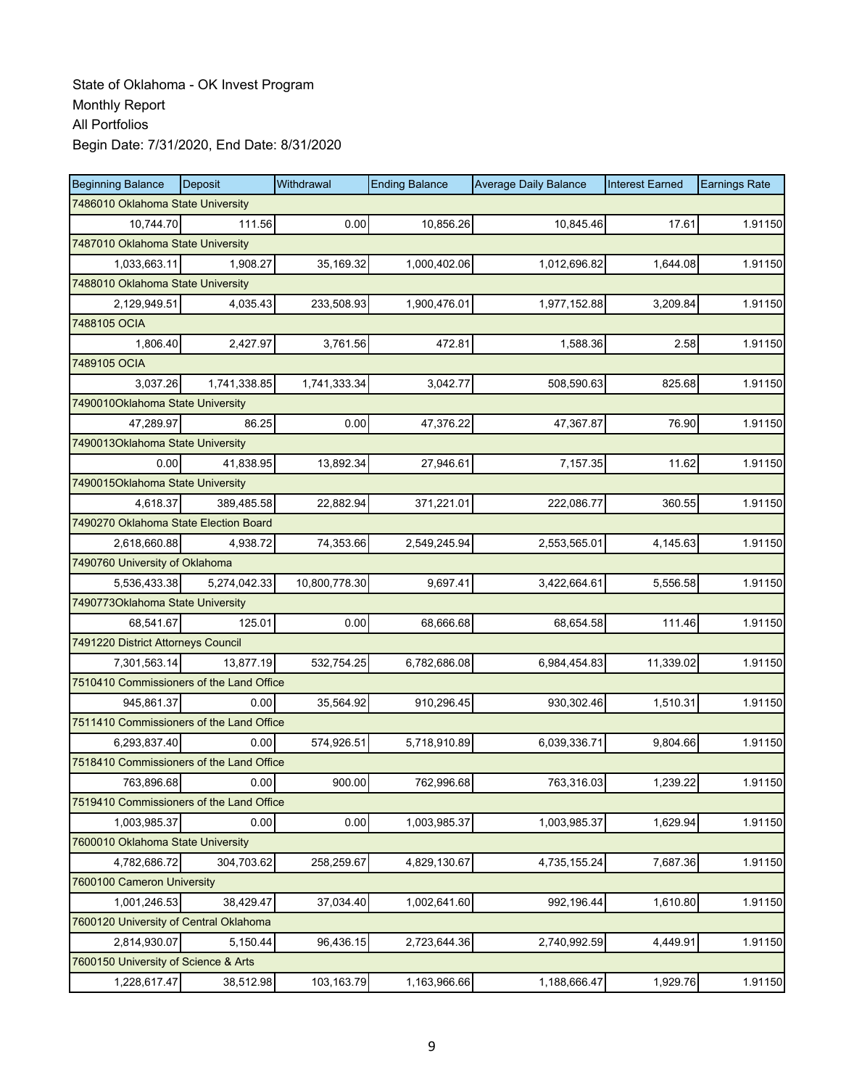| <b>Beginning Balance</b>                 | Deposit      | Withdrawal    | <b>Ending Balance</b> | <b>Average Daily Balance</b> | <b>Interest Earned</b> | <b>Earnings Rate</b> |
|------------------------------------------|--------------|---------------|-----------------------|------------------------------|------------------------|----------------------|
| 7486010 Oklahoma State University        |              |               |                       |                              |                        |                      |
| 10,744.70                                | 111.56       | 0.00          | 10,856.26             | 10,845.46                    | 17.61                  | 1.91150              |
| 7487010 Oklahoma State University        |              |               |                       |                              |                        |                      |
| 1,033,663.11                             | 1,908.27     | 35,169.32     | 1,000,402.06          | 1,012,696.82                 | 1,644.08               | 1.91150              |
| 7488010 Oklahoma State University        |              |               |                       |                              |                        |                      |
| 2,129,949.51                             | 4,035.43     | 233,508.93    | 1,900,476.01          | 1,977,152.88                 | 3,209.84               | 1.91150              |
| 7488105 OCIA                             |              |               |                       |                              |                        |                      |
| 1,806.40                                 | 2,427.97     | 3,761.56      | 472.81                | 1,588.36                     | 2.58                   | 1.91150              |
| 7489105 OCIA                             |              |               |                       |                              |                        |                      |
| 3,037.26                                 | 1,741,338.85 | 1,741,333.34  | 3,042.77              | 508,590.63                   | 825.68                 | 1.91150              |
| 7490010Oklahoma State University         |              |               |                       |                              |                        |                      |
| 47,289.97                                | 86.25        | 0.00          | 47,376.22             | 47,367.87                    | 76.90                  | 1.91150              |
| 7490013Oklahoma State University         |              |               |                       |                              |                        |                      |
| 0.00                                     | 41,838.95    | 13,892.34     | 27,946.61             | 7,157.35                     | 11.62                  | 1.91150              |
| 7490015Oklahoma State University         |              |               |                       |                              |                        |                      |
| 4,618.37                                 | 389,485.58   | 22,882.94     | 371,221.01            | 222,086.77                   | 360.55                 | 1.91150              |
| 7490270 Oklahoma State Election Board    |              |               |                       |                              |                        |                      |
| 2,618,660.88                             | 4,938.72     | 74,353.66     | 2,549,245.94          | 2,553,565.01                 | 4,145.63               | 1.91150              |
| 7490760 University of Oklahoma           |              |               |                       |                              |                        |                      |
| 5,536,433.38                             | 5,274,042.33 | 10,800,778.30 | 9,697.41              | 3,422,664.61                 | 5,556.58               | 1.91150              |
| 7490773Oklahoma State University         |              |               |                       |                              |                        |                      |
| 68,541.67                                | 125.01       | 0.00          | 68,666.68             | 68,654.58                    | 111.46                 | 1.91150              |
| 7491220 District Attorneys Council       |              |               |                       |                              |                        |                      |
| 7,301,563.14                             | 13,877.19    | 532,754.25    | 6,782,686.08          | 6,984,454.83                 | 11,339.02              | 1.91150              |
| 7510410 Commissioners of the Land Office |              |               |                       |                              |                        |                      |
| 945,861.37                               | 0.00         | 35,564.92     | 910,296.45            | 930,302.46                   | 1,510.31               | 1.91150              |
| 7511410 Commissioners of the Land Office |              |               |                       |                              |                        |                      |
| 6,293,837.40                             | 0.00         | 574,926.51    | 5,718,910.89          | 6,039,336.71                 | 9,804.66               | 1.91150              |
| 7518410 Commissioners of the Land Office |              |               |                       |                              |                        |                      |
| 763,896.68                               | 0.00         | 900.00        | 762,996.68            | 763,316.03                   | 1,239.22               | 1.91150              |
| 7519410 Commissioners of the Land Office |              |               |                       |                              |                        |                      |
| 1,003,985.37                             | 0.00         | 0.00          | 1,003,985.37          | 1,003,985.37                 | 1,629.94               | 1.91150              |
| 7600010 Oklahoma State University        |              |               |                       |                              |                        |                      |
| 4,782,686.72                             | 304,703.62   | 258,259.67    | 4,829,130.67          | 4,735,155.24                 | 7,687.36               | 1.91150              |
| 7600100 Cameron University               |              |               |                       |                              |                        |                      |
| 1,001,246.53                             | 38,429.47    | 37,034.40     | 1,002,641.60          | 992,196.44                   | 1,610.80               | 1.91150              |
| 7600120 University of Central Oklahoma   |              |               |                       |                              |                        |                      |
| 2,814,930.07                             | 5,150.44     | 96,436.15     | 2,723,644.36          | 2,740,992.59                 | 4,449.91               | 1.91150              |
| 7600150 University of Science & Arts     |              |               |                       |                              |                        |                      |
| 1,228,617.47                             | 38,512.98    | 103,163.79    | 1,163,966.66          | 1,188,666.47                 | 1,929.76               | 1.91150              |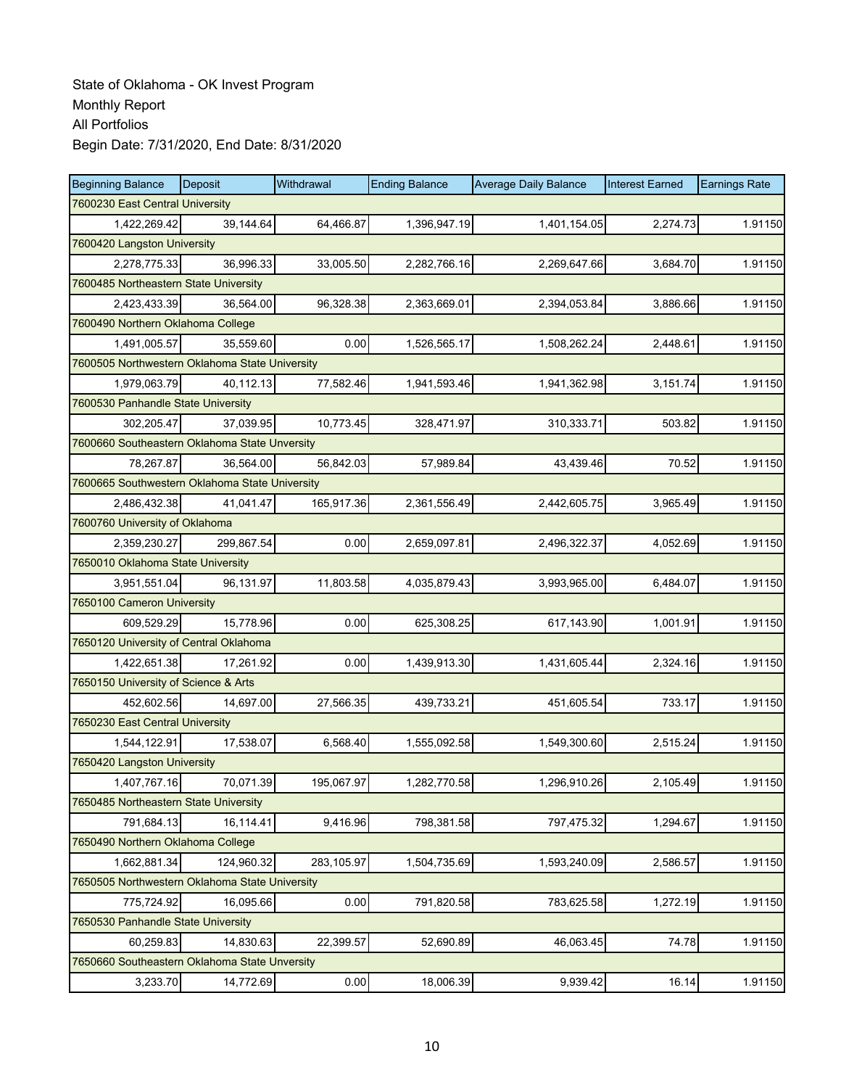| <b>Beginning Balance</b>                       | Deposit    | Withdrawal | <b>Ending Balance</b> | <b>Average Daily Balance</b> | <b>Interest Earned</b> | <b>Earnings Rate</b> |  |  |  |
|------------------------------------------------|------------|------------|-----------------------|------------------------------|------------------------|----------------------|--|--|--|
| 7600230 East Central University                |            |            |                       |                              |                        |                      |  |  |  |
| 1,422,269.42                                   | 39,144.64  | 64,466.87  | 1,396,947.19          | 1,401,154.05                 | 2,274.73               | 1.91150              |  |  |  |
| 7600420 Langston University                    |            |            |                       |                              |                        |                      |  |  |  |
| 2,278,775.33                                   | 36,996.33  | 33,005.50  | 2,282,766.16          | 2,269,647.66                 | 3,684.70               | 1.91150              |  |  |  |
| 7600485 Northeastern State University          |            |            |                       |                              |                        |                      |  |  |  |
| 2,423,433.39                                   | 36,564.00  | 96,328.38  | 2,363,669.01          | 2,394,053.84                 | 3,886.66               | 1.91150              |  |  |  |
| 7600490 Northern Oklahoma College              |            |            |                       |                              |                        |                      |  |  |  |
| 1,491,005.57                                   | 35,559.60  | 0.00       | 1,526,565.17          | 1,508,262.24                 | 2,448.61               | 1.91150              |  |  |  |
| 7600505 Northwestern Oklahoma State University |            |            |                       |                              |                        |                      |  |  |  |
| 1,979,063.79                                   | 40,112.13  | 77,582.46  | 1,941,593.46          | 1,941,362.98                 | 3,151.74               | 1.91150              |  |  |  |
| 7600530 Panhandle State University             |            |            |                       |                              |                        |                      |  |  |  |
| 302,205.47                                     | 37,039.95  | 10,773.45  | 328,471.97            | 310,333.71                   | 503.82                 | 1.91150              |  |  |  |
| 7600660 Southeastern Oklahoma State Unversity  |            |            |                       |                              |                        |                      |  |  |  |
| 78,267.87                                      | 36,564.00  | 56,842.03  | 57,989.84             | 43,439.46                    | 70.52                  | 1.91150              |  |  |  |
| 7600665 Southwestern Oklahoma State University |            |            |                       |                              |                        |                      |  |  |  |
| 2,486,432.38                                   | 41,041.47  | 165,917.36 | 2,361,556.49          | 2,442,605.75                 | 3,965.49               | 1.91150              |  |  |  |
| 7600760 University of Oklahoma                 |            |            |                       |                              |                        |                      |  |  |  |
| 2,359,230.27                                   | 299,867.54 | 0.00       | 2,659,097.81          | 2,496,322.37                 | 4,052.69               | 1.91150              |  |  |  |
| 7650010 Oklahoma State University              |            |            |                       |                              |                        |                      |  |  |  |
| 3,951,551.04                                   | 96,131.97  | 11,803.58  | 4,035,879.43          | 3,993,965.00                 | 6,484.07               | 1.91150              |  |  |  |
| 7650100 Cameron University                     |            |            |                       |                              |                        |                      |  |  |  |
| 609,529.29                                     | 15,778.96  | 0.00       | 625,308.25            | 617,143.90                   | 1,001.91               | 1.91150              |  |  |  |
| 7650120 University of Central Oklahoma         |            |            |                       |                              |                        |                      |  |  |  |
| 1,422,651.38                                   | 17,261.92  | 0.00       | 1,439,913.30          | 1,431,605.44                 | 2,324.16               | 1.91150              |  |  |  |
| 7650150 University of Science & Arts           |            |            |                       |                              |                        |                      |  |  |  |
| 452,602.56                                     | 14,697.00  | 27,566.35  | 439,733.21            | 451,605.54                   | 733.17                 | 1.91150              |  |  |  |
| 7650230 East Central University                |            |            |                       |                              |                        |                      |  |  |  |
| 1,544,122.91                                   | 17,538.07  | 6,568.40   | 1,555,092.58          | 1,549,300.60                 | 2,515.24               | 1.91150              |  |  |  |
| 7650420 Langston University                    |            |            |                       |                              |                        |                      |  |  |  |
| 1,407,767.16                                   | 70,071.39  | 195,067.97 | 1,282,770.58          | 1,296,910.26                 | 2,105.49               | 1.91150              |  |  |  |
| 7650485 Northeastern State University          |            |            |                       |                              |                        |                      |  |  |  |
| 791,684.13                                     | 16,114.41  | 9,416.96   | 798,381.58            | 797,475.32                   | 1,294.67               | 1.91150              |  |  |  |
| 7650490 Northern Oklahoma College              |            |            |                       |                              |                        |                      |  |  |  |
| 1,662,881.34                                   | 124,960.32 | 283,105.97 | 1,504,735.69          | 1,593,240.09                 | 2,586.57               | 1.91150              |  |  |  |
| 7650505 Northwestern Oklahoma State University |            |            |                       |                              |                        |                      |  |  |  |
| 775,724.92                                     | 16,095.66  | 0.00       | 791,820.58            | 783,625.58                   | 1,272.19               | 1.91150              |  |  |  |
| 7650530 Panhandle State University             |            |            |                       |                              |                        |                      |  |  |  |
| 60,259.83                                      | 14,830.63  | 22,399.57  | 52,690.89             | 46,063.45                    | 74.78                  | 1.91150              |  |  |  |
| 7650660 Southeastern Oklahoma State Unversity  |            |            |                       |                              |                        |                      |  |  |  |
| 3,233.70                                       | 14,772.69  | 0.00       | 18,006.39             | 9,939.42                     | 16.14                  | 1.91150              |  |  |  |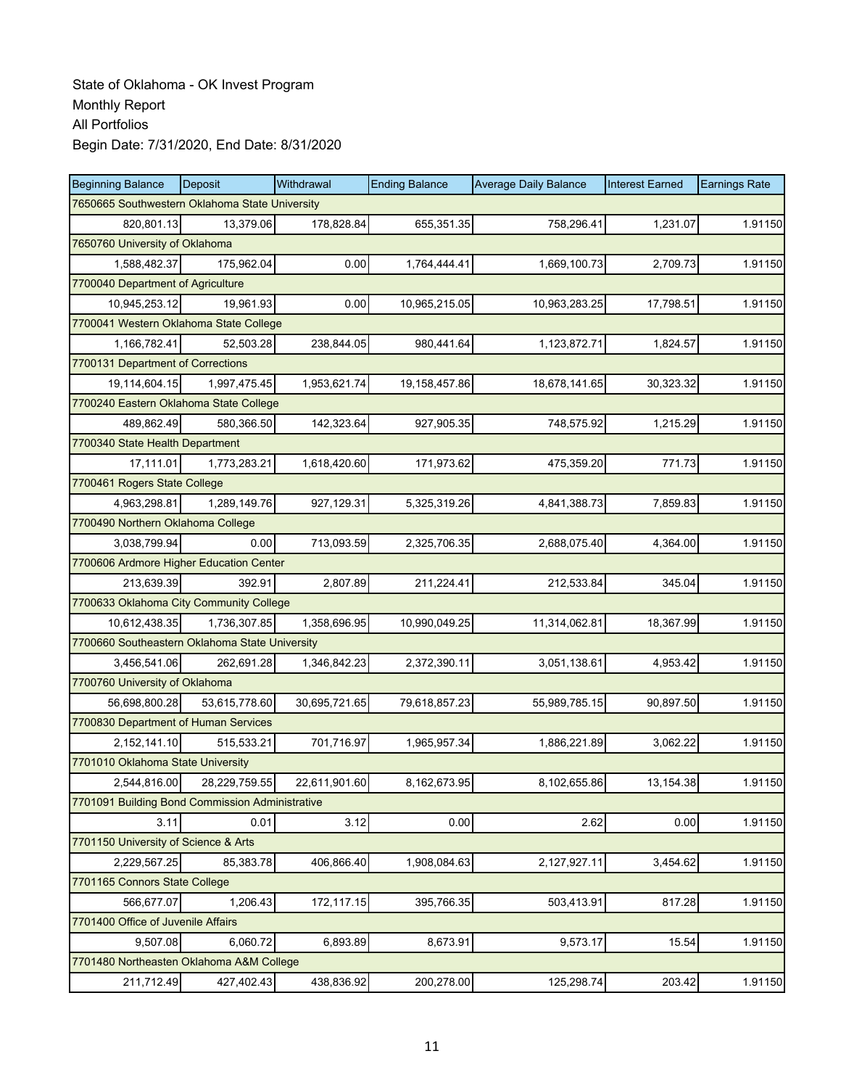| <b>Beginning Balance</b>                        | <b>Deposit</b> | Withdrawal    | <b>Ending Balance</b> | <b>Average Daily Balance</b> | <b>Interest Earned</b> | <b>Earnings Rate</b> |
|-------------------------------------------------|----------------|---------------|-----------------------|------------------------------|------------------------|----------------------|
| 7650665 Southwestern Oklahoma State University  |                |               |                       |                              |                        |                      |
| 820.801.13                                      | 13,379.06      | 178,828.84    | 655,351.35            | 758,296.41                   | 1,231.07               | 1.91150              |
| 7650760 University of Oklahoma                  |                |               |                       |                              |                        |                      |
| 1,588,482.37                                    | 175,962.04     | 0.00          | 1,764,444.41          | 1,669,100.73                 | 2,709.73               | 1.91150              |
| 7700040 Department of Agriculture               |                |               |                       |                              |                        |                      |
| 10,945,253.12                                   | 19,961.93      | 0.00          | 10,965,215.05         | 10,963,283.25                | 17,798.51              | 1.91150              |
| 7700041 Western Oklahoma State College          |                |               |                       |                              |                        |                      |
| 1,166,782.41                                    | 52,503.28      | 238,844.05    | 980,441.64            | 1,123,872.71                 | 1,824.57               | 1.91150              |
| 7700131 Department of Corrections               |                |               |                       |                              |                        |                      |
| 19,114,604.15                                   | 1,997,475.45   | 1,953,621.74  | 19,158,457.86         | 18,678,141.65                | 30,323.32              | 1.91150              |
| 7700240 Eastern Oklahoma State College          |                |               |                       |                              |                        |                      |
| 489,862.49                                      | 580,366.50     | 142,323.64    | 927,905.35            | 748,575.92                   | 1,215.29               | 1.91150              |
| 7700340 State Health Department                 |                |               |                       |                              |                        |                      |
| 17,111.01                                       | 1,773,283.21   | 1,618,420.60  | 171,973.62            | 475,359.20                   | 771.73                 | 1.91150              |
| 7700461 Rogers State College                    |                |               |                       |                              |                        |                      |
| 4,963,298.81                                    | 1,289,149.76   | 927,129.31    | 5,325,319.26          | 4,841,388.73                 | 7,859.83               | 1.91150              |
| 7700490 Northern Oklahoma College               |                |               |                       |                              |                        |                      |
| 3,038,799.94                                    | 0.00           | 713,093.59    | 2,325,706.35          | 2,688,075.40                 | 4,364.00               | 1.91150              |
| 7700606 Ardmore Higher Education Center         |                |               |                       |                              |                        |                      |
| 213,639.39                                      | 392.91         | 2,807.89      | 211,224.41            | 212,533.84                   | 345.04                 | 1.91150              |
| 7700633 Oklahoma City Community College         |                |               |                       |                              |                        |                      |
| 10,612,438.35                                   | 1,736,307.85   | 1,358,696.95  | 10,990,049.25         | 11,314,062.81                | 18,367.99              | 1.91150              |
| 7700660 Southeastern Oklahoma State University  |                |               |                       |                              |                        |                      |
| 3,456,541.06                                    | 262,691.28     | 1,346,842.23  | 2,372,390.11          | 3,051,138.61                 | 4,953.42               | 1.91150              |
| 7700760 University of Oklahoma                  |                |               |                       |                              |                        |                      |
| 56,698,800.28                                   | 53,615,778.60  | 30,695,721.65 | 79,618,857.23         | 55,989,785.15                | 90,897.50              | 1.91150              |
| 7700830 Department of Human Services            |                |               |                       |                              |                        |                      |
| 2,152,141.10                                    | 515,533.21     | 701,716.97    | 1,965,957.34          | 1,886,221.89                 | 3,062.22               | 1.91150              |
| 7701010 Oklahoma State University               |                |               |                       |                              |                        |                      |
| 2,544,816.00                                    | 28,229,759.55  | 22,611,901.60 | 8,162,673.95          | 8,102,655.86                 | 13,154.38              | 1.91150              |
| 7701091 Building Bond Commission Administrative |                |               |                       |                              |                        |                      |
| 3.11                                            | 0.01           | 3.12          | 0.00                  | 2.62                         | 0.00                   | 1.91150              |
| 7701150 University of Science & Arts            |                |               |                       |                              |                        |                      |
| 2,229,567.25                                    | 85,383.78      | 406,866.40    | 1,908,084.63          | 2,127,927.11                 | 3,454.62               | 1.91150              |
| 7701165 Connors State College                   |                |               |                       |                              |                        |                      |
| 566,677.07                                      | 1,206.43       | 172,117.15    | 395,766.35            | 503,413.91                   | 817.28                 | 1.91150              |
| 7701400 Office of Juvenile Affairs              |                |               |                       |                              |                        |                      |
| 9,507.08                                        | 6,060.72       | 6,893.89      | 8,673.91              | 9,573.17                     | 15.54                  | 1.91150              |
| 7701480 Northeasten Oklahoma A&M College        |                |               |                       |                              |                        |                      |
| 211,712.49                                      | 427,402.43     | 438,836.92    | 200,278.00            | 125,298.74                   | 203.42                 | 1.91150              |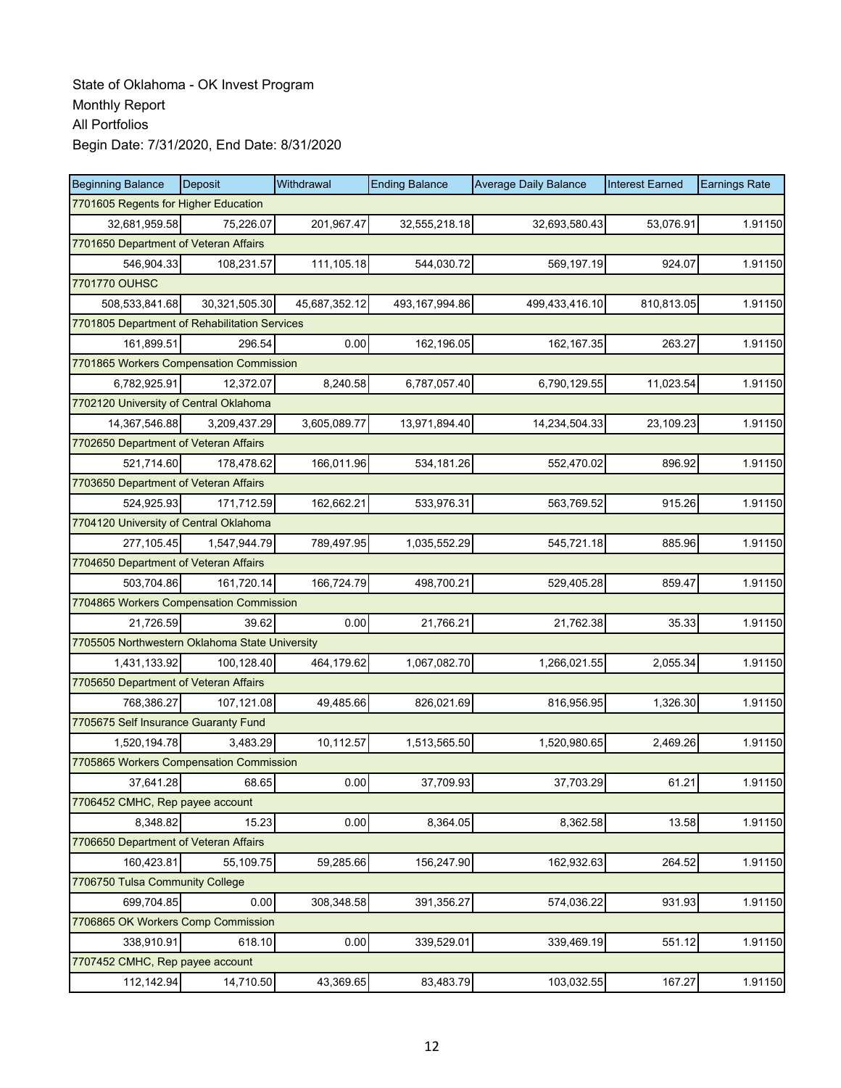| <b>Beginning Balance</b>                       | Deposit       | Withdrawal    | <b>Ending Balance</b> | <b>Average Daily Balance</b> | <b>Interest Earned</b> | <b>Earnings Rate</b> |  |  |  |
|------------------------------------------------|---------------|---------------|-----------------------|------------------------------|------------------------|----------------------|--|--|--|
| 7701605 Regents for Higher Education           |               |               |                       |                              |                        |                      |  |  |  |
| 32,681,959.58                                  | 75,226.07     | 201,967.47    | 32,555,218.18         | 32,693,580.43                | 53,076.91              | 1.91150              |  |  |  |
| 7701650 Department of Veteran Affairs          |               |               |                       |                              |                        |                      |  |  |  |
| 546,904.33                                     | 108,231.57    | 111,105.18    | 544,030.72            | 569,197.19                   | 924.07                 | 1.91150              |  |  |  |
| 7701770 OUHSC                                  |               |               |                       |                              |                        |                      |  |  |  |
| 508,533,841.68                                 | 30,321,505.30 | 45,687,352.12 | 493, 167, 994.86      | 499,433,416.10               | 810,813.05             | 1.91150              |  |  |  |
| 7701805 Department of Rehabilitation Services  |               |               |                       |                              |                        |                      |  |  |  |
| 161,899.51                                     | 296.54        | 0.00          | 162,196.05            | 162,167.35                   | 263.27                 | 1.91150              |  |  |  |
| 7701865 Workers Compensation Commission        |               |               |                       |                              |                        |                      |  |  |  |
| 6,782,925.91                                   | 12,372.07     | 8,240.58      | 6,787,057.40          | 6,790,129.55                 | 11,023.54              | 1.91150              |  |  |  |
| 7702120 University of Central Oklahoma         |               |               |                       |                              |                        |                      |  |  |  |
| 14,367,546.88                                  | 3,209,437.29  | 3,605,089.77  | 13,971,894.40         | 14,234,504.33                | 23,109.23              | 1.91150              |  |  |  |
| 7702650 Department of Veteran Affairs          |               |               |                       |                              |                        |                      |  |  |  |
| 521,714.60                                     | 178,478.62    | 166,011.96    | 534,181.26            | 552,470.02                   | 896.92                 | 1.91150              |  |  |  |
| 7703650 Department of Veteran Affairs          |               |               |                       |                              |                        |                      |  |  |  |
| 524,925.93                                     | 171,712.59    | 162,662.21    | 533,976.31            | 563,769.52                   | 915.26                 | 1.91150              |  |  |  |
| 7704120 University of Central Oklahoma         |               |               |                       |                              |                        |                      |  |  |  |
| 277,105.45                                     | 1,547,944.79  | 789,497.95    | 1,035,552.29          | 545,721.18                   | 885.96                 | 1.91150              |  |  |  |
| 7704650 Department of Veteran Affairs          |               |               |                       |                              |                        |                      |  |  |  |
| 503,704.86                                     | 161,720.14    | 166,724.79    | 498,700.21            | 529,405.28                   | 859.47                 | 1.91150              |  |  |  |
| 7704865 Workers Compensation Commission        |               |               |                       |                              |                        |                      |  |  |  |
| 21,726.59                                      | 39.62         | 0.00          | 21,766.21             | 21,762.38                    | 35.33                  | 1.91150              |  |  |  |
| 7705505 Northwestern Oklahoma State University |               |               |                       |                              |                        |                      |  |  |  |
| 1,431,133.92                                   | 100,128.40    | 464,179.62    | 1,067,082.70          | 1,266,021.55                 | 2,055.34               | 1.91150              |  |  |  |
| 7705650 Department of Veteran Affairs          |               |               |                       |                              |                        |                      |  |  |  |
| 768,386.27                                     | 107,121.08    | 49,485.66     | 826,021.69            | 816,956.95                   | 1,326.30               | 1.91150              |  |  |  |
| 7705675 Self Insurance Guaranty Fund           |               |               |                       |                              |                        |                      |  |  |  |
| 1,520,194.78                                   | 3,483.29      | 10,112.57     | 1,513,565.50          | 1,520,980.65                 | 2,469.26               | 1.91150              |  |  |  |
| 7705865 Workers Compensation Commission        |               |               |                       |                              |                        |                      |  |  |  |
| 37,641.28                                      | 68.65         | 0.00          | 37,709.93             | 37,703.29                    | 61.21                  | 1.91150              |  |  |  |
| 7706452 CMHC, Rep payee account                |               |               |                       |                              |                        |                      |  |  |  |
| 8,348.82                                       | 15.23         | 0.00          | 8,364.05              | 8,362.58                     | 13.58                  | 1.91150              |  |  |  |
| 7706650 Department of Veteran Affairs          |               |               |                       |                              |                        |                      |  |  |  |
| 160,423.81                                     | 55,109.75     | 59,285.66     | 156,247.90            | 162,932.63                   | 264.52                 | 1.91150              |  |  |  |
| 7706750 Tulsa Community College                |               |               |                       |                              |                        |                      |  |  |  |
| 699,704.85                                     | 0.00          | 308,348.58    | 391,356.27            | 574,036.22                   | 931.93                 | 1.91150              |  |  |  |
| 7706865 OK Workers Comp Commission             |               |               |                       |                              |                        |                      |  |  |  |
| 338,910.91                                     | 618.10        | 0.00          | 339,529.01            | 339,469.19                   | 551.12                 | 1.91150              |  |  |  |
| 7707452 CMHC, Rep payee account                |               |               |                       |                              |                        |                      |  |  |  |
| 112,142.94                                     | 14,710.50     | 43,369.65     | 83,483.79             | 103,032.55                   | 167.27                 | 1.91150              |  |  |  |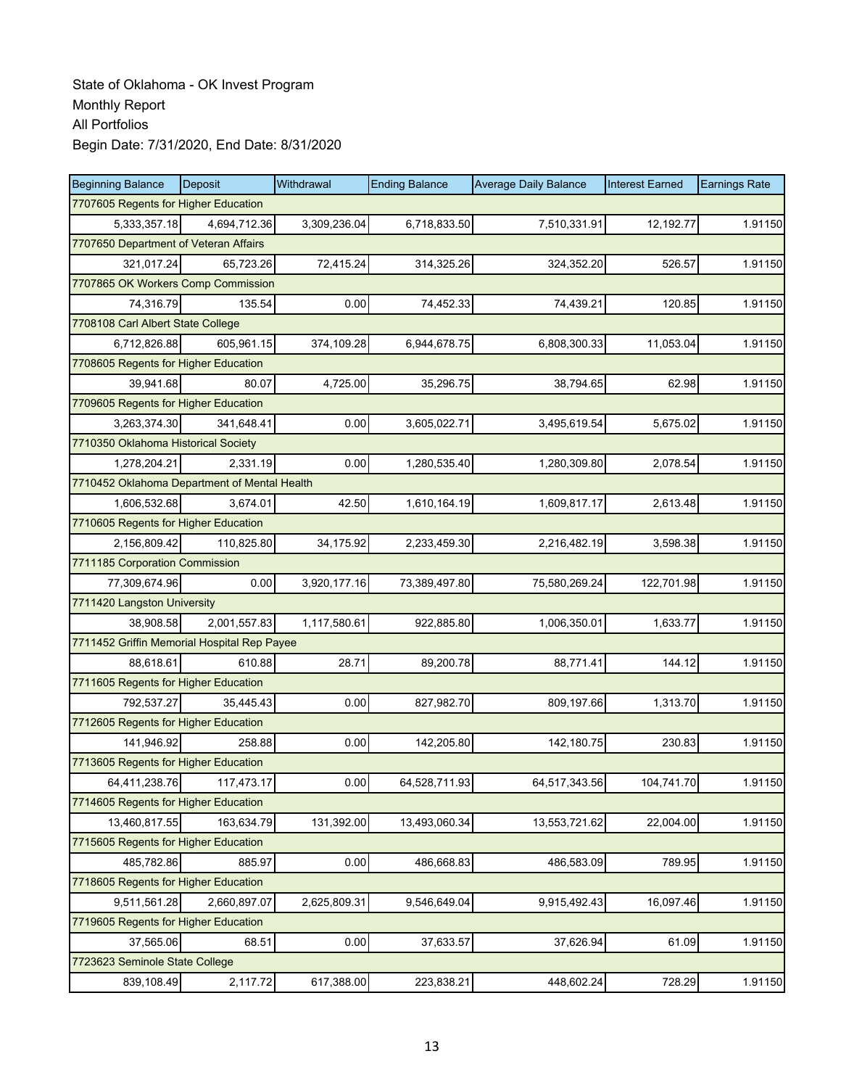| <b>Beginning Balance</b>                     | Deposit                            | Withdrawal   | <b>Ending Balance</b> | <b>Average Daily Balance</b> | <b>Interest Earned</b> | <b>Earnings Rate</b> |  |  |  |
|----------------------------------------------|------------------------------------|--------------|-----------------------|------------------------------|------------------------|----------------------|--|--|--|
| 7707605 Regents for Higher Education         |                                    |              |                       |                              |                        |                      |  |  |  |
| 5,333,357.18                                 | 4,694,712.36                       | 3,309,236.04 | 6,718,833.50          | 7,510,331.91                 | 12,192.77              | 1.91150              |  |  |  |
| 7707650 Department of Veteran Affairs        |                                    |              |                       |                              |                        |                      |  |  |  |
| 321,017.24                                   | 65,723.26                          | 72,415.24    | 314,325.26            | 324,352.20                   | 526.57                 | 1.91150              |  |  |  |
|                                              | 7707865 OK Workers Comp Commission |              |                       |                              |                        |                      |  |  |  |
| 74,316.79                                    | 135.54                             | 0.00         | 74,452.33             | 74,439.21                    | 120.85                 | 1.91150              |  |  |  |
| 7708108 Carl Albert State College            |                                    |              |                       |                              |                        |                      |  |  |  |
| 6,712,826.88                                 | 605,961.15                         | 374,109.28   | 6,944,678.75          | 6,808,300.33                 | 11,053.04              | 1.91150              |  |  |  |
| 7708605 Regents for Higher Education         |                                    |              |                       |                              |                        |                      |  |  |  |
| 39,941.68                                    | 80.07                              | 4,725.00     | 35,296.75             | 38,794.65                    | 62.98                  | 1.91150              |  |  |  |
| 7709605 Regents for Higher Education         |                                    |              |                       |                              |                        |                      |  |  |  |
| 3,263,374.30                                 | 341,648.41                         | 0.00         | 3,605,022.71          | 3,495,619.54                 | 5,675.02               | 1.91150              |  |  |  |
| 7710350 Oklahoma Historical Society          |                                    |              |                       |                              |                        |                      |  |  |  |
| 1,278,204.21                                 | 2,331.19                           | 0.00         | 1,280,535.40          | 1,280,309.80                 | 2,078.54               | 1.91150              |  |  |  |
| 7710452 Oklahoma Department of Mental Health |                                    |              |                       |                              |                        |                      |  |  |  |
| 1,606,532.68                                 | 3,674.01                           | 42.50        | 1,610,164.19          | 1,609,817.17                 | 2,613.48               | 1.91150              |  |  |  |
| 7710605 Regents for Higher Education         |                                    |              |                       |                              |                        |                      |  |  |  |
| 2,156,809.42                                 | 110,825.80                         | 34,175.92    | 2,233,459.30          | 2,216,482.19                 | 3,598.38               | 1.91150              |  |  |  |
| 7711185 Corporation Commission               |                                    |              |                       |                              |                        |                      |  |  |  |
| 77,309,674.96                                | 0.00                               | 3,920,177.16 | 73,389,497.80         | 75,580,269.24                | 122,701.98             | 1.91150              |  |  |  |
| 7711420 Langston University                  |                                    |              |                       |                              |                        |                      |  |  |  |
| 38,908.58                                    | 2,001,557.83                       | 1,117,580.61 | 922,885.80            | 1,006,350.01                 | 1,633.77               | 1.91150              |  |  |  |
| 7711452 Griffin Memorial Hospital Rep Payee  |                                    |              |                       |                              |                        |                      |  |  |  |
| 88,618.61                                    | 610.88                             | 28.71        | 89,200.78             | 88,771.41                    | 144.12                 | 1.91150              |  |  |  |
| 7711605 Regents for Higher Education         |                                    |              |                       |                              |                        |                      |  |  |  |
| 792,537.27                                   | 35,445.43                          | 0.00         | 827,982.70            | 809,197.66                   | 1,313.70               | 1.91150              |  |  |  |
| 7712605 Regents for Higher Education         |                                    |              |                       |                              |                        |                      |  |  |  |
| 141,946.92                                   | 258.88                             | 0.00         | 142,205.80            | 142,180.75                   | 230.83                 | 1.91150              |  |  |  |
| 7713605 Regents for Higher Education         |                                    |              |                       |                              |                        |                      |  |  |  |
| 64,411,238.76                                | 117,473.17                         | 0.00         | 64,528,711.93         | 64,517,343.56                | 104,741.70             | 1.91150              |  |  |  |
| 7714605 Regents for Higher Education         |                                    |              |                       |                              |                        |                      |  |  |  |
| 13,460,817.55                                | 163,634.79                         | 131,392.00   | 13,493,060.34         | 13,553,721.62                | 22,004.00              | 1.91150              |  |  |  |
| 7715605 Regents for Higher Education         |                                    |              |                       |                              |                        |                      |  |  |  |
| 485,782.86                                   | 885.97                             | 0.00         | 486,668.83            | 486,583.09                   | 789.95                 | 1.91150              |  |  |  |
| 7718605 Regents for Higher Education         |                                    |              |                       |                              |                        |                      |  |  |  |
| 9,511,561.28                                 | 2,660,897.07                       | 2,625,809.31 | 9,546,649.04          | 9,915,492.43                 | 16,097.46              | 1.91150              |  |  |  |
| 7719605 Regents for Higher Education         |                                    |              |                       |                              |                        |                      |  |  |  |
| 37,565.06                                    | 68.51                              | 0.00         | 37,633.57             | 37,626.94                    | 61.09                  | 1.91150              |  |  |  |
| 7723623 Seminole State College               |                                    |              |                       |                              |                        |                      |  |  |  |
| 839,108.49                                   | 2,117.72                           | 617,388.00   | 223,838.21            | 448,602.24                   | 728.29                 | 1.91150              |  |  |  |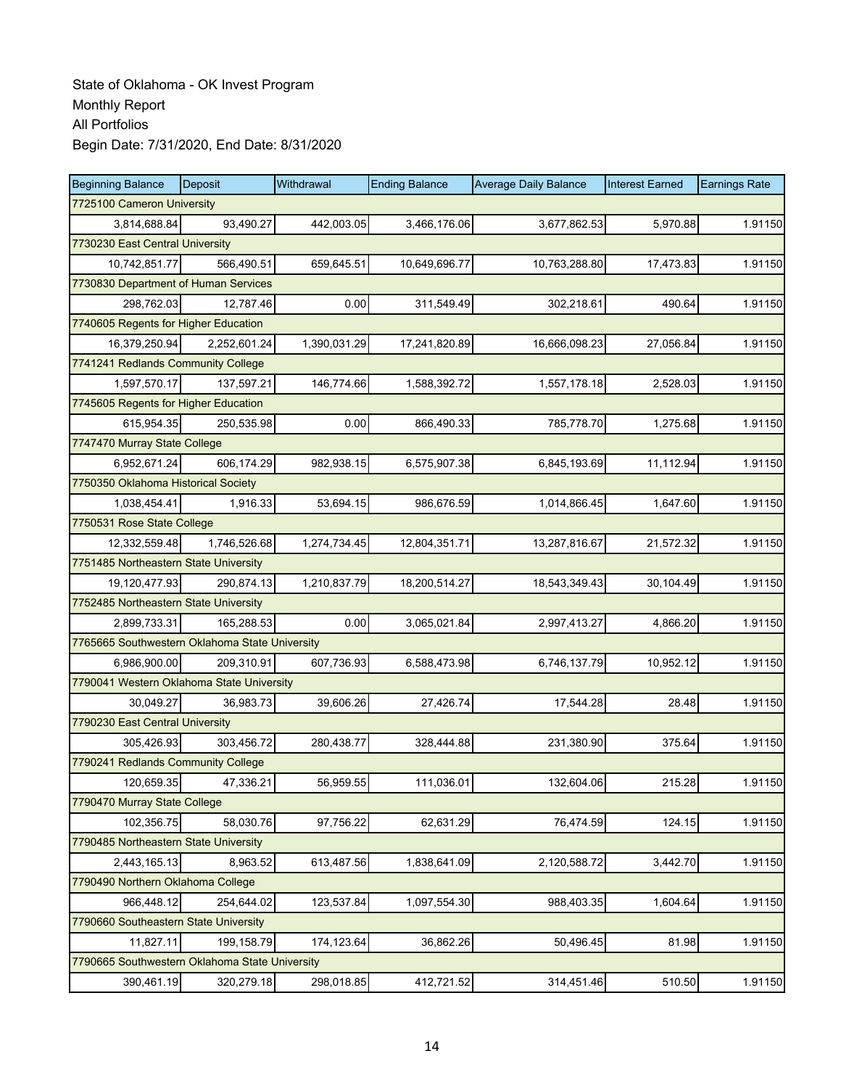| <b>Beginning Balance</b>                       | Deposit      | Withdrawal   | <b>Ending Balance</b> | <b>Average Daily Balance</b> | <b>Interest Earned</b> | <b>Earnings Rate</b> |  |
|------------------------------------------------|--------------|--------------|-----------------------|------------------------------|------------------------|----------------------|--|
| 7725100 Cameron University                     |              |              |                       |                              |                        |                      |  |
| 3,814,688.84                                   | 93,490.27    | 442,003.05   | 3,466,176.06          | 3,677,862.53                 | 5,970.88               | 1.91150              |  |
| 7730230 East Central University                |              |              |                       |                              |                        |                      |  |
| 10,742,851.77                                  | 566,490.51   | 659,645.51   | 10,649,696.77         | 10,763,288.80                | 17,473.83              | 1.91150              |  |
| 7730830 Department of Human Services           |              |              |                       |                              |                        |                      |  |
| 298,762.03                                     | 12,787.46    | 0.00         | 311,549.49            | 302,218.61                   | 490.64                 | 1.91150              |  |
| 7740605 Regents for Higher Education           |              |              |                       |                              |                        |                      |  |
| 16,379,250.94                                  | 2,252,601.24 | 1,390,031.29 | 17,241,820.89         | 16,666,098.23                | 27,056.84              | 1.91150              |  |
| 7741241 Redlands Community College             |              |              |                       |                              |                        |                      |  |
| 1,597,570.17                                   | 137,597.21   | 146,774.66   | 1,588,392.72          | 1,557,178.18                 | 2,528.03               | 1.91150              |  |
| 7745605 Regents for Higher Education           |              |              |                       |                              |                        |                      |  |
| 615,954.35                                     | 250,535.98   | 0.00         | 866,490.33            | 785,778.70                   | 1,275.68               | 1.91150              |  |
| 7747470 Murray State College                   |              |              |                       |                              |                        |                      |  |
| 6,952,671.24                                   | 606,174.29   | 982,938.15   | 6,575,907.38          | 6,845,193.69                 | 11,112.94              | 1.91150              |  |
| 7750350 Oklahoma Historical Society            |              |              |                       |                              |                        |                      |  |
| 1,038,454.41                                   | 1,916.33     | 53,694.15    | 986,676.59            | 1,014,866.45                 | 1,647.60               | 1.91150              |  |
| 7750531 Rose State College                     |              |              |                       |                              |                        |                      |  |
| 12,332,559.48                                  | 1,746,526.68 | 1,274,734.45 | 12,804,351.71         | 13,287,816.67                | 21,572.32              | 1.91150              |  |
| 7751485 Northeastern State University          |              |              |                       |                              |                        |                      |  |
| 19,120,477.93                                  | 290,874.13   | 1,210,837.79 | 18,200,514.27         | 18,543,349.43                | 30,104.49              | 1.91150              |  |
| 7752485 Northeastern State University          |              |              |                       |                              |                        |                      |  |
| 2,899,733.31                                   | 165,288.53   | 0.00         | 3,065,021.84          | 2,997,413.27                 | 4,866.20               | 1.91150              |  |
| 7765665 Southwestern Oklahoma State University |              |              |                       |                              |                        |                      |  |
| 6,986,900.00                                   | 209,310.91   | 607,736.93   | 6,588,473.98          | 6,746,137.79                 | 10,952.12              | 1.91150              |  |
| 7790041 Western Oklahoma State University      |              |              |                       |                              |                        |                      |  |
| 30,049.27                                      | 36,983.73    | 39,606.26    | 27,426.74             | 17,544.28                    | 28.48                  | 1.91150              |  |
| 7790230 East Central University                |              |              |                       |                              |                        |                      |  |
| 305,426.93                                     | 303,456.72   | 280,438.77   | 328,444.88            | 231,380.90                   | 375.64                 | 1.91150              |  |
| 7790241 Redlands Community College             |              |              |                       |                              |                        |                      |  |
| 120,659.35                                     | 47,336.21    | 56,959.55    | 111,036.01            | 132,604.06                   | 215.28                 | 1.91150              |  |
| 7790470 Murray State College                   |              |              |                       |                              |                        |                      |  |
| 102,356.75                                     | 58,030.76    | 97,756.22    | 62,631.29             | 76,474.59                    | 124.15                 | 1.91150              |  |
| 7790485 Northeastern State University          |              |              |                       |                              |                        |                      |  |
| 2,443,165.13                                   | 8,963.52     | 613,487.56   | 1,838,641.09          | 2,120,588.72                 | 3,442.70               | 1.91150              |  |
| 7790490 Northern Oklahoma College              |              |              |                       |                              |                        |                      |  |
| 966,448.12                                     | 254,644.02   | 123,537.84   | 1,097,554.30          | 988,403.35                   | 1,604.64               | 1.91150              |  |
| 7790660 Southeastern State University          |              |              |                       |                              |                        |                      |  |
| 11,827.11                                      | 199,158.79   | 174,123.64   | 36,862.26             | 50,496.45                    | 81.98                  | 1.91150              |  |
| 7790665 Southwestern Oklahoma State University |              |              |                       |                              |                        |                      |  |
| 390,461.19                                     | 320,279.18   | 298,018.85   | 412,721.52            | 314,451.46                   | 510.50                 | 1.91150              |  |